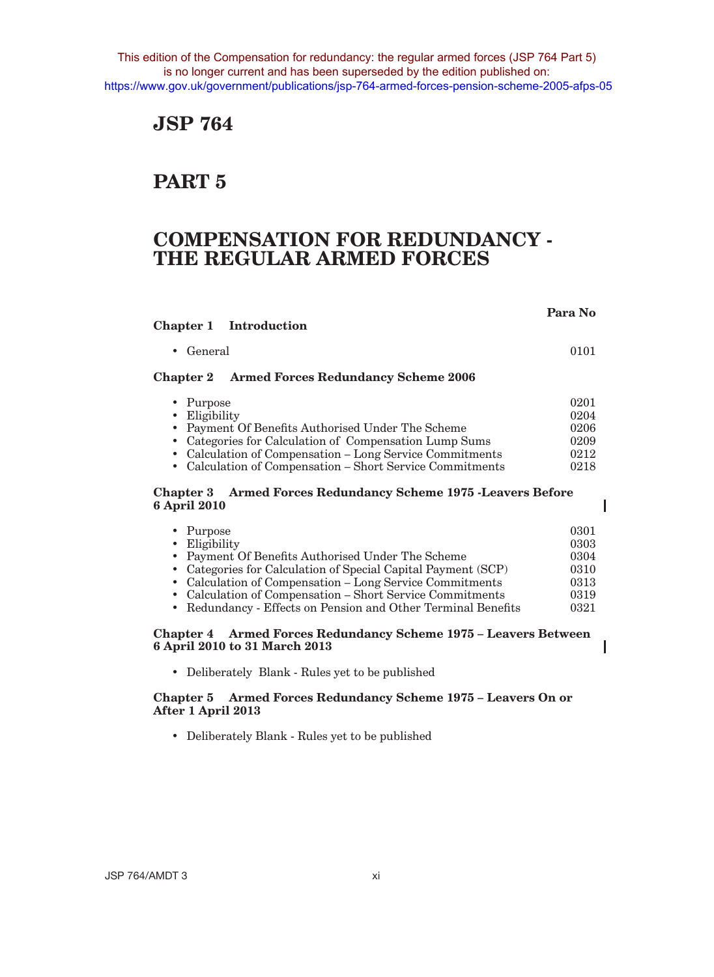# **JSP 764**

# **PART 5**

# **COMPENSATION FOR REDUNDANCY - THE REGULAR ARMED FORCES**

| <b>Chapter 1</b> Introduction                                                                                                                                                                                                                                                                                                                         | Para No                                              |  |  |
|-------------------------------------------------------------------------------------------------------------------------------------------------------------------------------------------------------------------------------------------------------------------------------------------------------------------------------------------------------|------------------------------------------------------|--|--|
| • General<br>0101                                                                                                                                                                                                                                                                                                                                     |                                                      |  |  |
| <b>Armed Forces Redundancy Scheme 2006</b><br><b>Chapter 2</b>                                                                                                                                                                                                                                                                                        |                                                      |  |  |
| • Purpose<br>• Eligibility<br>• Payment Of Benefits Authorised Under The Scheme<br>• Categories for Calculation of Compensation Lump Sums<br>• Calculation of Compensation – Long Service Commitments<br>• Calculation of Compensation - Short Service Commitments                                                                                    | 0201<br>0204<br>0206<br>0209<br>0212<br>0218         |  |  |
| <b>Chapter 3</b> Armed Forces Redundancy Scheme 1975 -Leavers Before<br><b>6 April 2010</b>                                                                                                                                                                                                                                                           |                                                      |  |  |
| • Purpose<br>• Eligibility<br>• Payment Of Benefits Authorised Under The Scheme<br>• Categories for Calculation of Special Capital Payment (SCP)<br>• Calculation of Compensation – Long Service Commitments<br>• Calculation of Compensation - Short Service Commitments<br>Redundancy - Effects on Pension and Other Terminal Benefits<br>$\bullet$ | 0301<br>0303<br>0304<br>0310<br>0313<br>0319<br>0321 |  |  |
| <b>Chapter 4 Armed Forces Redundancy Scheme 1975 - Leavers Between</b><br>6 April 2010 to 31 March 2013                                                                                                                                                                                                                                               |                                                      |  |  |
| Deliberately Blank - Rules yet to be published                                                                                                                                                                                                                                                                                                        |                                                      |  |  |

 $\overline{\phantom{a}}$ 

 $\overline{\phantom{a}}$ 

## **Chapter 5 Armed Forces Redundancy Scheme 1975 – Leavers On or After 1 April 2013**

• Deliberately Blank - Rules yet to be published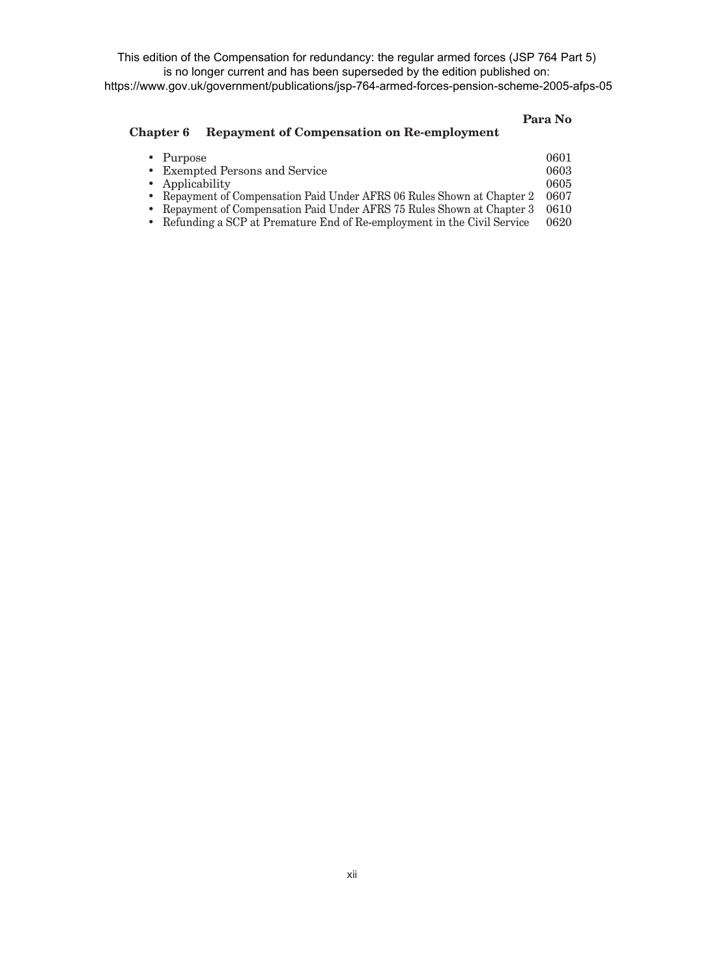https://www.gov.uk/government/publications/jsp-764-armed-forces-pension-scheme-2005-afps-05

**Para No** 

## **Chapter 6 Repayment of Compensation on Re-employment**

| • Purpose                                                                | 0601 |
|--------------------------------------------------------------------------|------|
| • Exempted Persons and Service                                           | 0603 |
| • Applicability                                                          | 0605 |
| • Repayment of Compensation Paid Under AFRS 06 Rules Shown at Chapter 2  | 0607 |
| • Repayment of Compensation Paid Under AFRS 75 Rules Shown at Chapter 3  | 0610 |
| • Refunding a SCP at Premature End of Re-employment in the Civil Service | 0620 |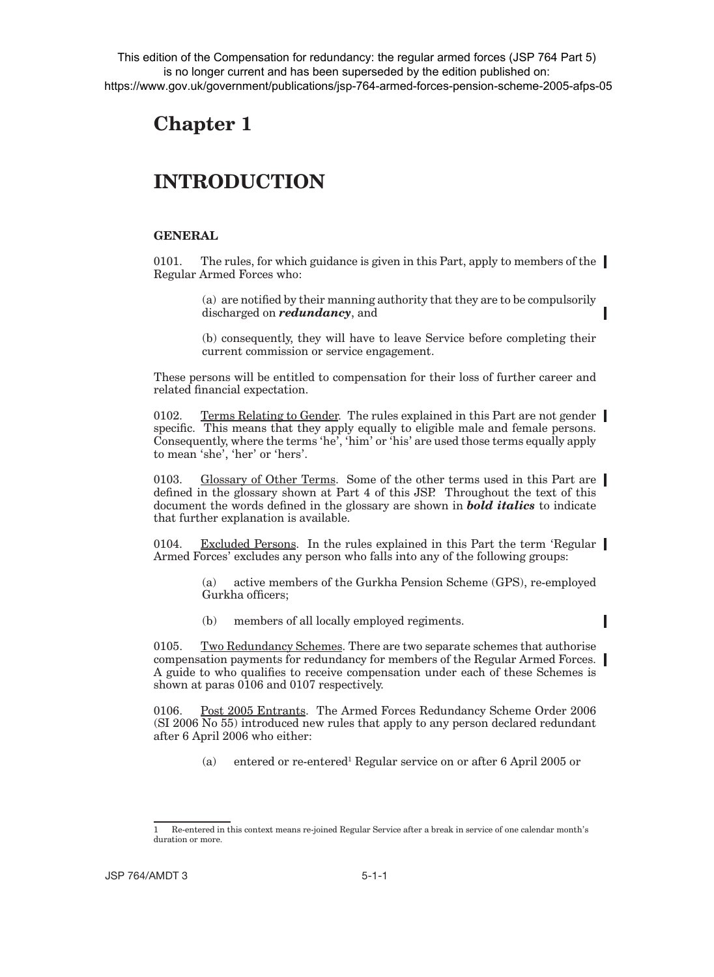# **Chapter 1**

# **INTRODUCTION**

## **GENERAL**

0101. The rules, for which guidance is given in this Part, apply to members of the Regular Armed Forces who:

> (a) are notified by their manning authority that they are to be compulsorily discharged on *redundancy*, and

L

 $\mathbf{I}$ 

(b) consequently, they will have to leave Service before completing their current commission or service engagement.

These persons will be entitled to compensation for their loss of further career and related financial expectation.

0102. Terms Relating to Gender. The rules explained in this Part are not gender  $\parallel$ specific. This means that they apply equally to eligible male and female persons. Consequently, where the terms 'he', 'him' or 'his' are used those terms equally apply to mean 'she', 'her' or 'hers'.

0103. Glossary of Other Terms. Some of the other terms used in this Part are defined in the glossary shown at Part 4 of this JSP. Throughout the text of this document the words defined in the glossary are shown in *bold italics* to indicate that further explanation is available.

0104. Excluded Persons. In the rules explained in this Part the term 'Regular Armed Forces' excludes any person who falls into any of the following groups:

> (a) active members of the Gurkha Pension Scheme (GPS), re-employed Gurkha officers:

(b) members of all locally employed regiments.

0105. Two Redundancy Schemes. There are two separate schemes that authorise compensation payments for redundancy for members of the Regular Armed Forces. A guide to who qualifies to receive compensation under each of these Schemes is shown at paras 0106 and 0107 respectively.

0106. Post 2005 Entrants. The Armed Forces Redundancy Scheme Order 2006 (SI 2006 No 55) introduced new rules that apply to any person declared redundant after 6 April 2006 who either:

(a) entered or re-entered<sup>1</sup> Regular service on or after 6 April 2005 or

<sup>1</sup> Re-entered in this context means re-joined Regular Service after a break in service of one calendar month's duration or more.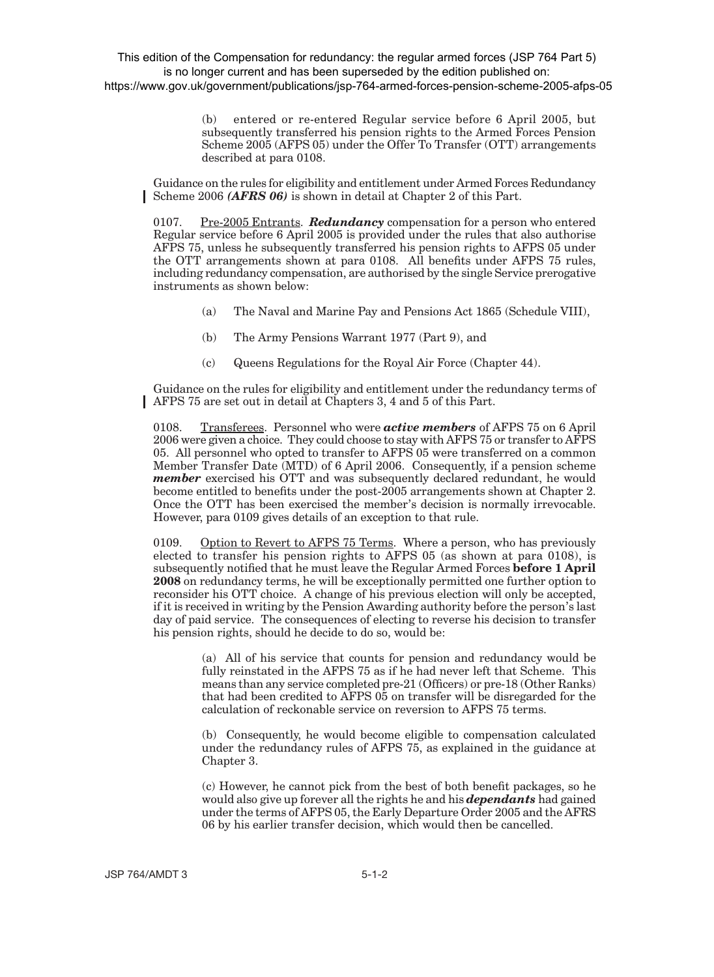> (b) entered or re-entered Regular service before 6 April 2005, but subsequently transferred his pension rights to the Armed Forces Pension Scheme 2005 (AFPS 05) under the Offer To Transfer (OTT) arrangements described at para 0108.

Guidance on the rules for eligibility and entitlement under Armed Forces Redundancy Scheme 2006 *(AFRS 06)* is shown in detail at Chapter 2 of this Part.

0107. Pre-2005 Entrants. *Redundancy* compensation for a person who entered Regular service before 6 April 2005 is provided under the rules that also authorise AFPS 75, unless he subsequently transferred his pension rights to AFPS 05 under the OTT arrangements shown at para 0108. All benefits under AFPS 75 rules, including redundancy compensation, are authorised by the single Service prerogative instruments as shown below:

- (a) The Naval and Marine Pay and Pensions Act 1865 (Schedule VIII),
- (b) The Army Pensions Warrant 1977 (Part 9), and
- (c) Queens Regulations for the Royal Air Force (Chapter 44).

Guidance on the rules for eligibility and entitlement under the redundancy terms of AFPS 75 are set out in detail at Chapters 3, 4 and 5 of this Part.

0108. Transferees. Personnel who were *active members* of AFPS 75 on 6 April 2006 were given a choice. They could choose to stay with AFPS 75 or transfer to AFPS 05. All personnel who opted to transfer to AFPS 05 were transferred on a common Member Transfer Date (MTD) of 6 April 2006. Consequently, if a pension scheme *member* exercised his OTT and was subsequently declared redundant, he would become entitled to benefits under the post-2005 arrangements shown at Chapter 2. Once the OTT has been exercised the member's decision is normally irrevocable. However, para 0109 gives details of an exception to that rule.

0109. Option to Revert to AFPS 75 Terms. Where a person, who has previously elected to transfer his pension rights to AFPS 05 (as shown at para 0108), is subsequently notified that he must leave the Regular Armed Forces **before 1 April 2008** on redundancy terms, he will be exceptionally permitted one further option to reconsider his OTT choice. A change of his previous election will only be accepted, if it is received in writing by the Pension Awarding authority before the person's last day of paid service. The consequences of electing to reverse his decision to transfer his pension rights, should he decide to do so, would be:

> (a) All of his service that counts for pension and redundancy would be fully reinstated in the AFPS 75 as if he had never left that Scheme. This means than any service completed pre-21 (Officers) or pre-18 (Other Ranks) that had been credited to AFPS 05 on transfer will be disregarded for the calculation of reckonable service on reversion to AFPS 75 terms.

> (b) Consequently, he would become eligible to compensation calculated under the redundancy rules of AFPS 75, as explained in the guidance at Chapter 3.

> (c) However, he cannot pick from the best of both benefit packages, so he would also give up forever all the rights he and his *dependants* had gained under the terms of AFPS 05, the Early Departure Order 2005 and the AFRS 06 by his earlier transfer decision, which would then be cancelled.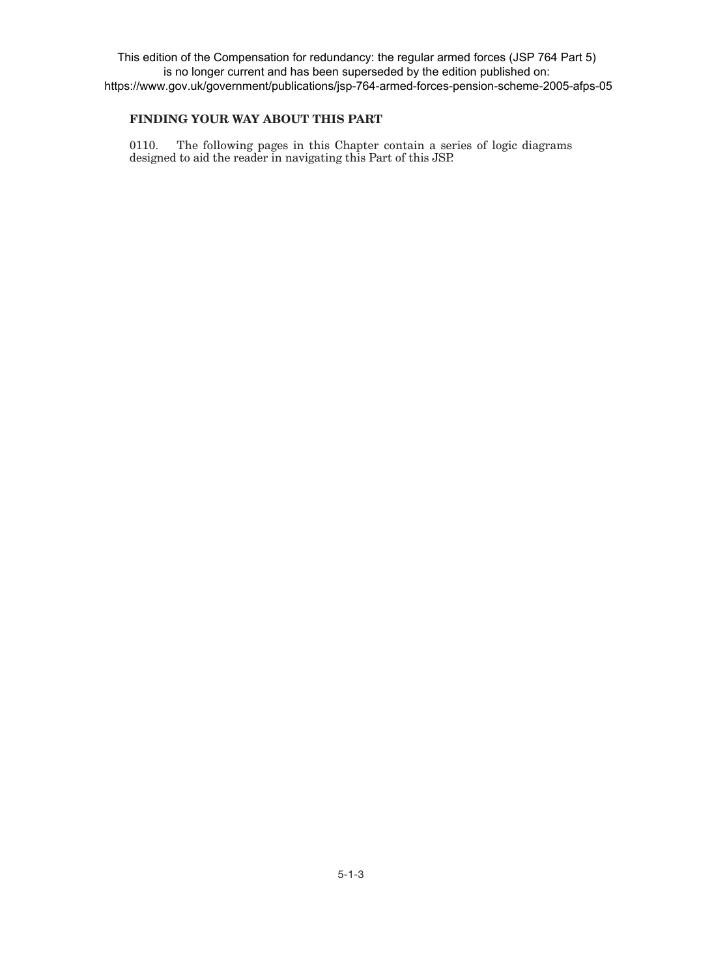## **FINDING YOUR WAY ABOUT THIS PART**

0110. The following pages in this Chapter contain a series of logic diagrams designed to aid the reader in navigating this Part of this JSP.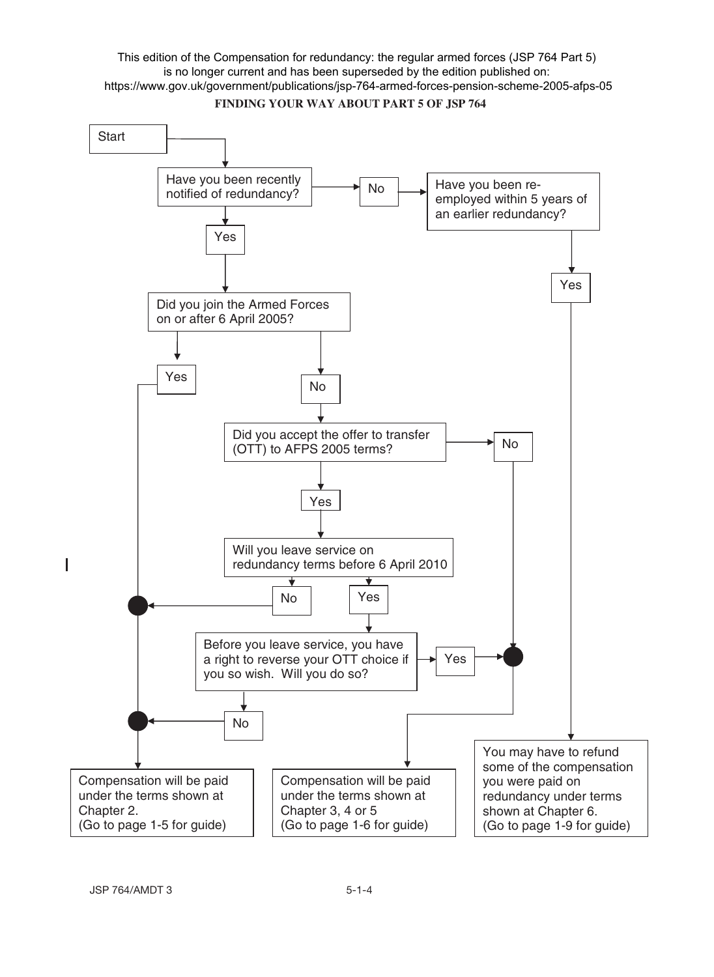## **FINDING YOUR WAY ABOUT PART 5 OF JSP 764**

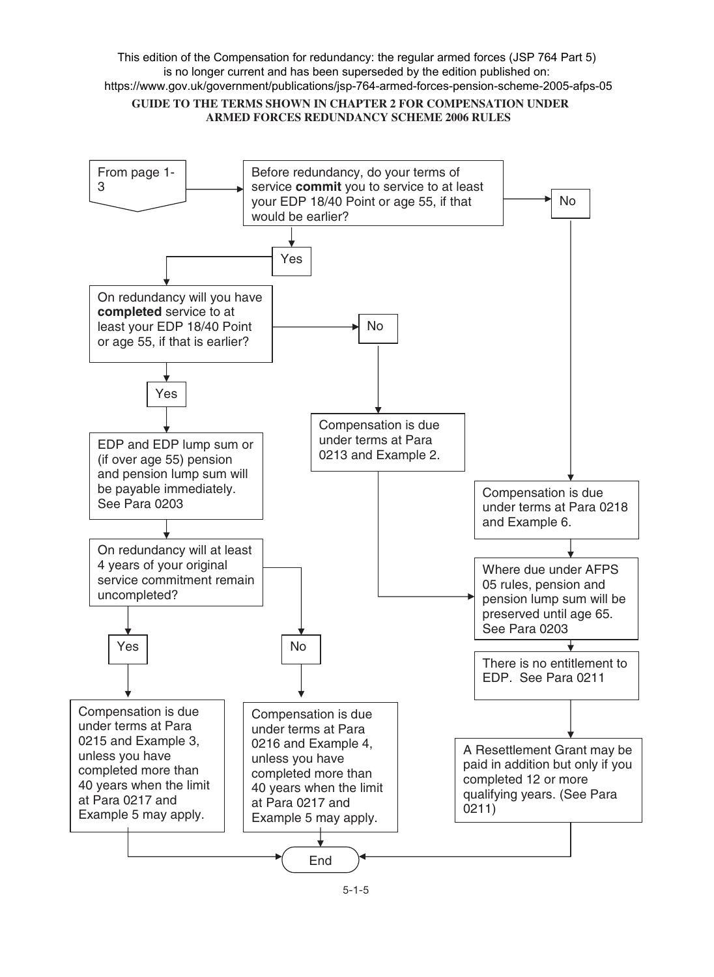**GUIDE TO THE TERMS SHOWN IN CHAPTER 2 FOR COMPENSATION UNDER**  This edition of the Compensation for redundancy: the regular armed forces (JSP 764 Part 5) is no longer current and has been superseded by the edition published on: https://www.gov.uk/government/publications/jsp-764-armed-forces-pension-scheme-2005-afps-05

## **ARMED FORCES REDUNDANCY SCHEME 2006 RULES**

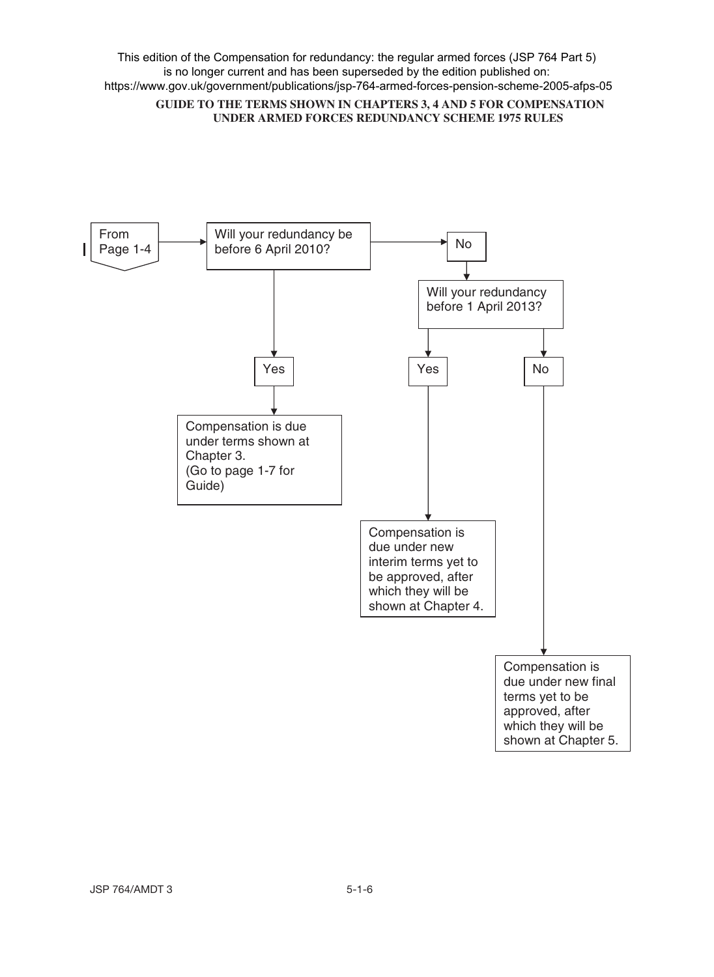## **GUIDE TO THE TERMS SHOWN IN CHAPTERS 3, 4 AND 5 FOR COMPENSATION**  This edition of the Compensation for redundancy: the regular armed forces (JSP 764 Part 5) is no longer current and has been superseded by the edition published on: https://www.gov.uk/government/publications/jsp-764-armed-forces-pension-scheme-2005-afps-05

**UNDER ARMED FORCES REDUNDANCY SCHEME 1975 RULES** 

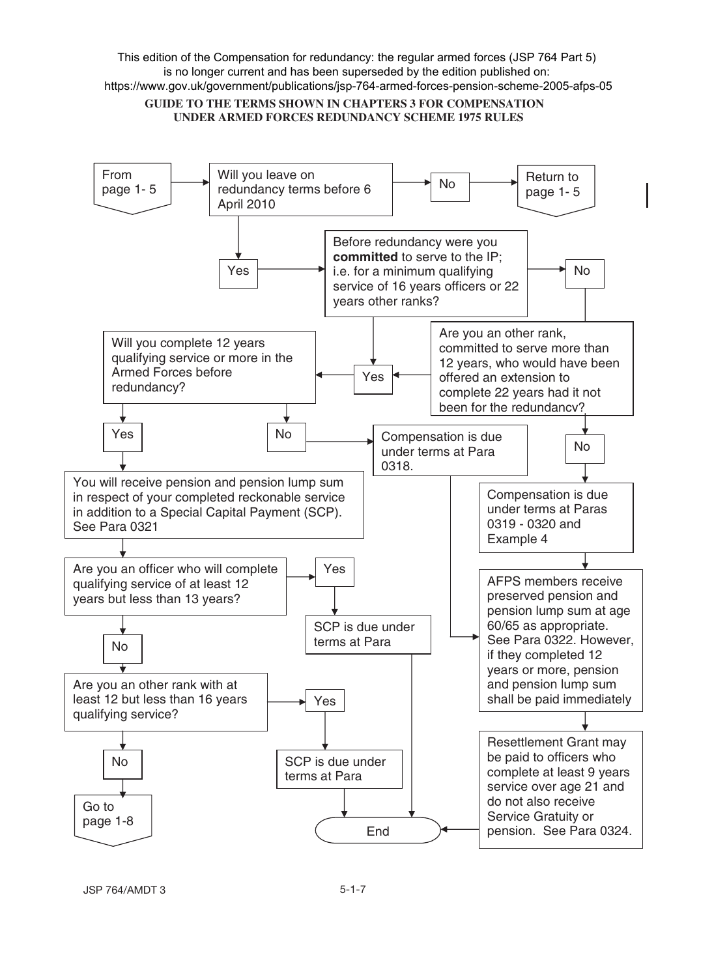#### **GUIDE TO THE TERMS SHOWN IN CHAPTERS 3 FOR COMPENSATION UNDER ARMED FORCES REDUNDANCY SCHEME 1975 RULES**

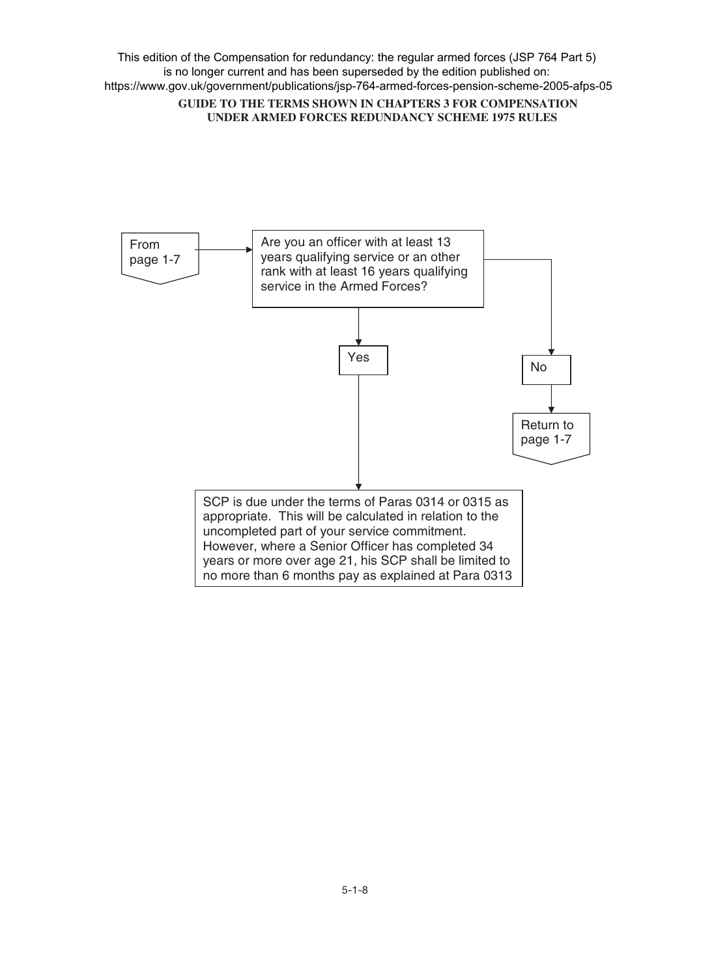**UNDER ARMED FORCES REDUNDANCY SCHEME 1975 RULES** 

Are you an officer with at least 13 years qualifying service or an other rank with at least 16 years qualifying service in the Armed Forces? Yes From page 1-7 No

no more than 6 months pay as explained at Para 0313

SCP is due under the terms of Paras 0314 or 0315 as appropriate. This will be calculated in relation to the

uncompleted part of your service commitment. However, where a Senior Officer has completed 34 years or more over age 21, his SCP shall be limited to Return to page 1-7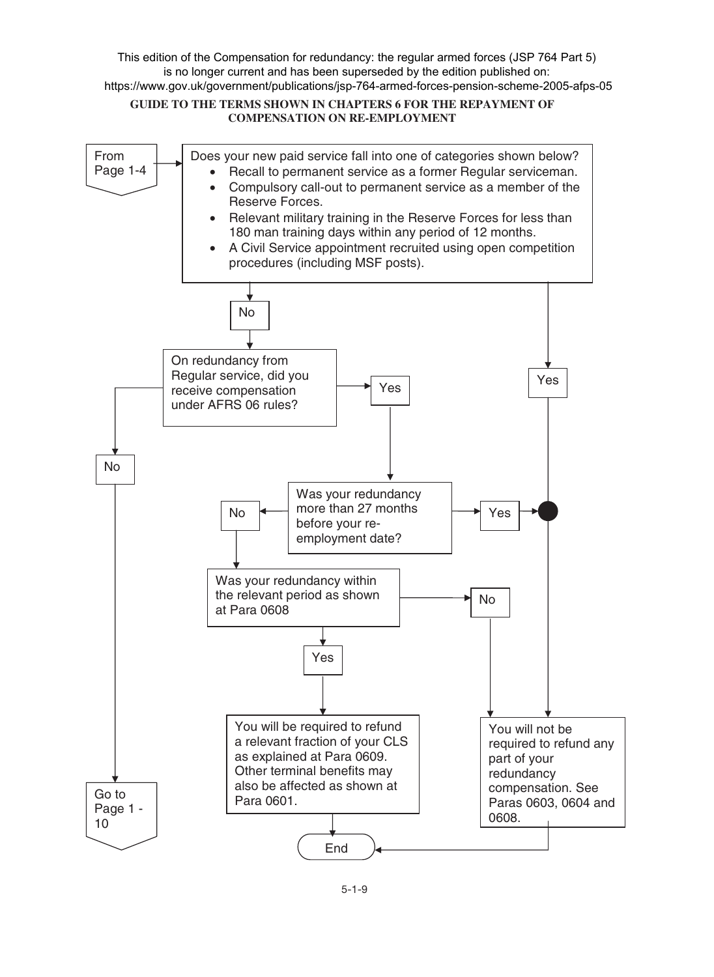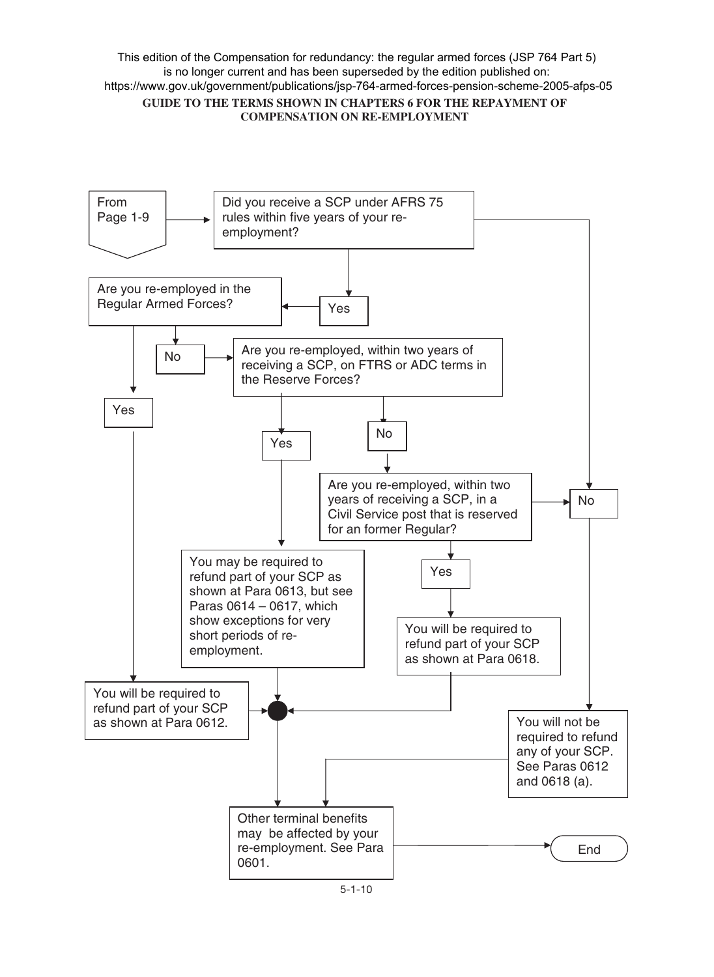## **GUIDE TO THE TERMS SHOWN IN CHAPTERS 6 FOR THE REPAYMENT OF** This edition of the Compensation for redundancy: the regular armed forces (JSP 764 Part 5) is no longer current and has been superseded by the edition published on: https://www.gov.uk/government/publications/jsp-764-armed-forces-pension-scheme-2005-afps-05

## **COMPENSATION ON RE-EMPLOYMENT**

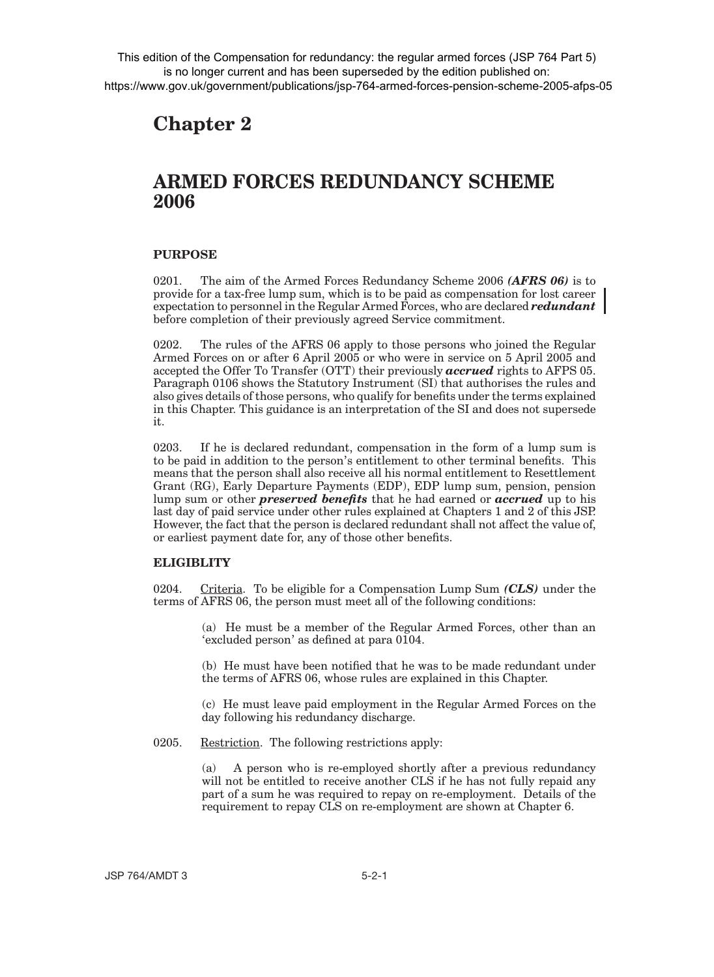# **Chapter 2**

# **ARMED FORCES REDUNDANCY SCHEME 2006**

## **PURPOSE**

0201. The aim of the Armed Forces Redundancy Scheme 2006 *(AFRS 06)* is to provide for a tax-free lump sum, which is to be paid as compensation for lost career expectation to personnel in the Regular Armed Forces, who are declared *redundant*  before completion of their previously agreed Service commitment.

0202. The rules of the AFRS 06 apply to those persons who joined the Regular Armed Forces on or after 6 April 2005 or who were in service on 5 April 2005 and accepted the Offer To Transfer (OTT) their previously *accrued* rights to AFPS 05. Paragraph 0106 shows the Statutory Instrument (SI) that authorises the rules and also gives details of those persons, who qualify for benefits under the terms explained in this Chapter. This guidance is an interpretation of the SI and does not supersede it.

0203. If he is declared redundant, compensation in the form of a lump sum is to be paid in addition to the person's entitlement to other terminal benefits. This means that the person shall also receive all his normal entitlement to Resettlement Grant (RG), Early Departure Payments (EDP), EDP lump sum, pension, pension lump sum or other *preserved benefits* that he had earned or *accrued* up to his last day of paid service under other rules explained at Chapters 1 and 2 of this JSP. However, the fact that the person is declared redundant shall not affect the value of, or earliest payment date for, any of those other benefits.

#### **ELIGIBLITY**

0204. Criteria. To be eligible for a Compensation Lump Sum *(CLS)* under the terms of AFRS 06, the person must meet all of the following conditions:

> (a) He must be a member of the Regular Armed Forces, other than an 'excluded person' as defined at para 0104.

> (b) He must have been notified that he was to be made redundant under the terms of AFRS 06, whose rules are explained in this Chapter.

> (c) He must leave paid employment in the Regular Armed Forces on the day following his redundancy discharge.

0205. Restriction. The following restrictions apply:

(a) A person who is re-employed shortly after a previous redundancy will not be entitled to receive another CLS if he has not fully repaid any part of a sum he was required to repay on re-employment. Details of the requirement to repay CLS on re-employment are shown at Chapter 6.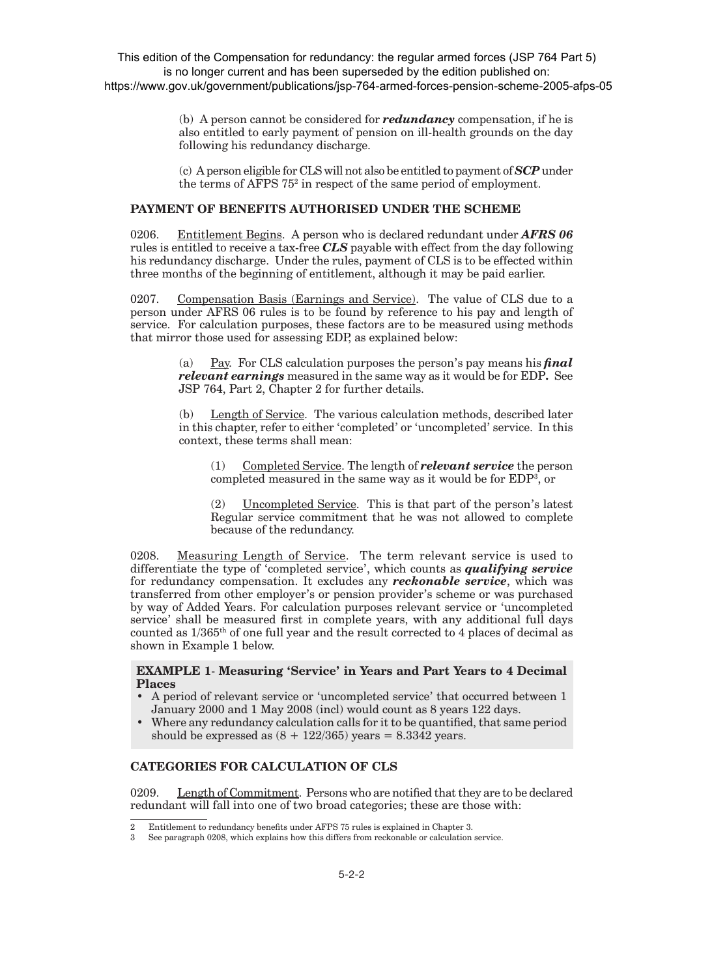> (b) A person cannot be considered for *redundancy* compensation, if he is also entitled to early payment of pension on ill-health grounds on the day following his redundancy discharge.

> (c) A person eligible for CLS will not also be entitled to payment of *SCP* under the terms of AFPS 752 in respect of the same period of employment.

## **PAYMENT OF BENEFITS AUTHORISED UNDER THE SCHEME**

0206. Entitlement Begins. A person who is declared redundant under *AFRS 06*  rules is entitled to receive a tax-free *CLS* payable with effect from the day following his redundancy discharge. Under the rules, payment of CLS is to be effected within three months of the beginning of entitlement, although it may be paid earlier.

0207. Compensation Basis (Earnings and Service). The value of CLS due to a person under AFRS 06 rules is to be found by reference to his pay and length of service. For calculation purposes, these factors are to be measured using methods that mirror those used for assessing EDP, as explained below:

> (a) Pay. For CLS calculation purposes the person's pay means his *final relevant earnings* measured in the same way as it would be for EDP*.* See JSP 764, Part 2, Chapter 2 for further details.

> (b) Length of Service. The various calculation methods, described later in this chapter, refer to either 'completed' or 'uncompleted' service. In this context, these terms shall mean:

(1) Completed Service. The length of *relevant service* the person completed measured in the same way as it would be for EDP3 , or

(2) Uncompleted Service. This is that part of the person's latest Regular service commitment that he was not allowed to complete because of the redundancy.

0208. Measuring Length of Service. The term relevant service is used to differentiate the type of 'completed service', which counts as *qualifying service*  for redundancy compensation. It excludes any *reckonable service*, which was transferred from other employer's or pension provider's scheme or was purchased by way of Added Years. For calculation purposes relevant service or 'uncompleted service' shall be measured first in complete years, with any additional full days counted as  $1/365<sup>th</sup>$  of one full year and the result corrected to 4 places of decimal as shown in Example 1 below.

## **EXAMPLE 1**- **Measuring 'Service' in Years and Part Years to 4 Decimal Places**

- A period of relevant service or 'uncompleted service' that occurred between 1 January 2000 and 1 May 2008 (incl) would count as 8 years 122 days.
- • Where any redundancy calculation calls for it to be quantified, that same period should be expressed as  $(8 + 122/365)$  years =  $8.3342$  years.

## **CATEGORIES FOR CALCULATION OF CLS**

0209. Length of Commitment. Persons who are notified that they are to be declared redundant will fall into one of two broad categories; these are those with:

<sup>2</sup> Entitlement to redundancy benefits under AFPS 75 rules is explained in Chapter 3.

<sup>3</sup> See paragraph 0208, which explains how this differs from reckonable or calculation service.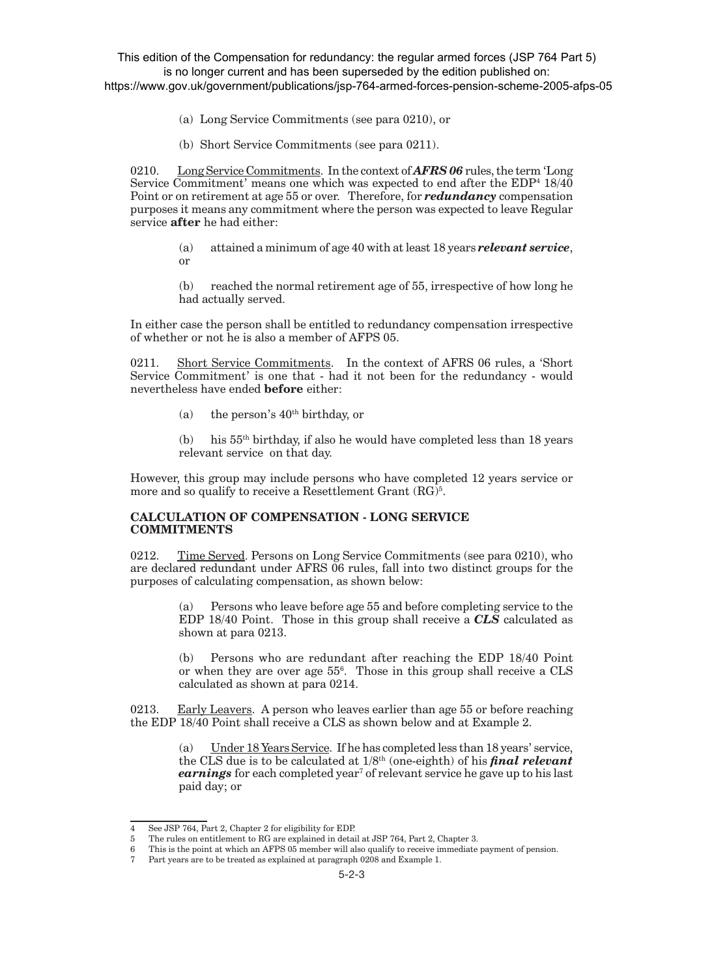- (a) Long Service Commitments (see para 0210), or
- (b) Short Service Commitments (see para 0211).

0210. Long Service Commitments. In the context of *AFRS 06* rules, the term 'Long Service Commitment' means one which was expected to end after the EDP<sup>4</sup> 18/40 Point or on retirement at age 55 or over. Therefore, for *redundancy* compensation purposes it means any commitment where the person was expected to leave Regular service **after** he had either:

> (a) attained a minimum of age 40 with at least 18 years *relevant service*, or

> (b) reached the normal retirement age of 55, irrespective of how long he had actually served.

In either case the person shall be entitled to redundancy compensation irrespective of whether or not he is also a member of AFPS 05.

0211. Short Service Commitments. In the context of AFRS 06 rules, a 'Short Service Commitment' is one that - had it not been for the redundancy - would nevertheless have ended **before** either:

(a) the person's  $40<sup>th</sup>$  birthday, or

(b) his 55th birthday, if also he would have completed less than 18 years relevant service on that day.

However, this group may include persons who have completed 12 years service or more and so qualify to receive a Resettlement Grant  $(RG)^5$ .

## **CALCULATION OF COMPENSATION - LONG SERVICE COMMITMENTS**

0212. Time Served. Persons on Long Service Commitments (see para 0210), who are declared redundant under AFRS 06 rules, fall into two distinct groups for the purposes of calculating compensation, as shown below:

> (a) Persons who leave before age 55 and before completing service to the EDP 18/40 Point. Those in this group shall receive a *CLS* calculated as shown at para 0213.

> (b) Persons who are redundant after reaching the EDP 18/40 Point or when they are over age 556 . Those in this group shall receive a CLS calculated as shown at para 0214.

0213. Early Leavers. A person who leaves earlier than age 55 or before reaching the EDP 18/40 Point shall receive a CLS as shown below and at Example 2.

> (a) Under 18 Years Service. If he has completed less than 18 years' service, the CLS due is to be calculated at  $1/8<sup>th</sup>$  (one-eighth) of his *final relevant* earnings for each completed year<sup>7</sup> of relevant service he gave up to his last paid day; or

<sup>4</sup> See JSP 764, Part 2, Chapter 2 for eligibility for EDP.

<sup>5</sup> The rules on entitlement to RG are explained in detail at JSP 764, Part 2, Chapter 3.

<sup>6</sup> This is the point at which an AFPS 05 member will also qualify to receive immediate payment of pension.

<sup>7</sup> Part years are to be treated as explained at paragraph 0208 and Example 1.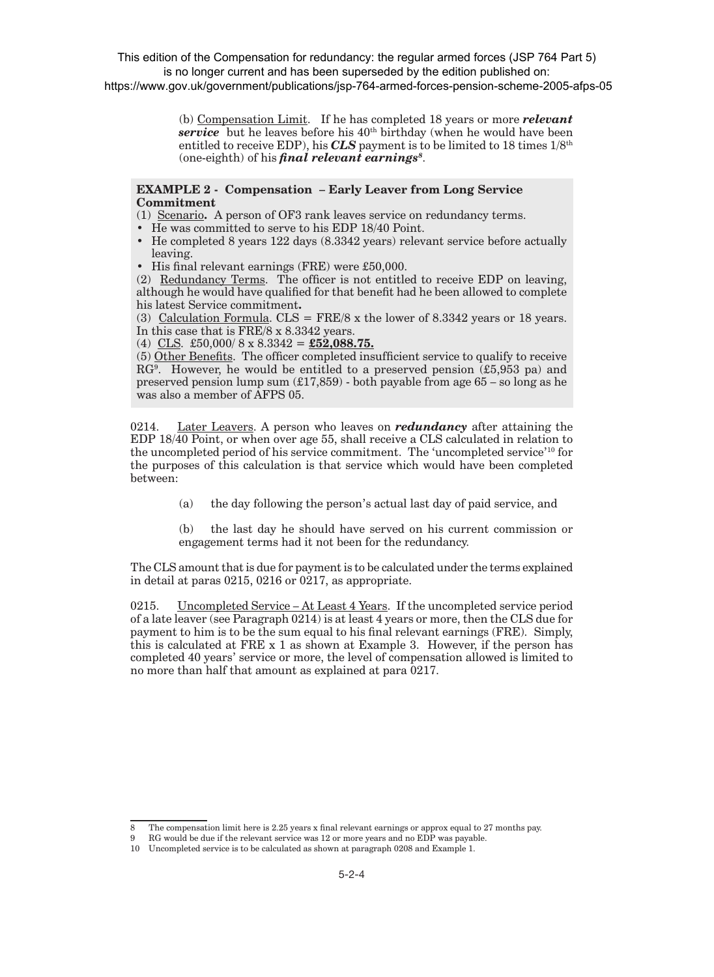> (b) Compensation Limit. If he has completed 18 years or more *relevant*  **service** but he leaves before his 40<sup>th</sup> birthday (when he would have been entitled to receive EDP), his **CLS** payment is to be limited to 18 times  $1/8^{\text{th}}$ (one-eighth) of his *final relevant earnings8* .

## **EXAMPLE 2 - Compensation – Early Leaver from Long Service Commitment**

(1) Scenario**.** A person of OF3 rank leaves service on redundancy terms.

- He was committed to serve to his EDP 18/40 Point.
- He completed 8 years 122 days (8.3342 years) relevant service before actually leaving.
- His final relevant earnings (FRE) were £50,000.

(2) Redundancy Terms. The officer is not entitled to receive EDP on leaving, although he would have qualified for that benefit had he been allowed to complete his latest Service commitment**.** 

(3) Calculation Formula.  $CLS = FRE/8$  x the lower of 8.3342 years or 18 years. In this case that is FRE/8 x 8.3342 years.

(4) CLS. £50,000/ 8 x 8.3342 = **£52,088.75.** 

 $(5)$  Other Benefits. The officer completed insufficient service to qualify to receive  $RG<sup>9</sup>$ . However, he would be entitled to a preserved pension (£5,953 pa) and preserved pension lump sum (£17,859) - both payable from age 65 – so long as he was also a member of AFPS 05.

0214. Later Leavers. A person who leaves on *redundancy* after attaining the EDP 18/40 Point, or when over age 55, shall receive a CLS calculated in relation to the uncompleted period of his service commitment. The 'uncompleted service'10 for the purposes of this calculation is that service which would have been completed between:

(a) the day following the person's actual last day of paid service, and

(b) the last day he should have served on his current commission or engagement terms had it not been for the redundancy.

The CLS amount that is due for payment is to be calculated under the terms explained in detail at paras 0215, 0216 or 0217, as appropriate.

 payment to him is to be the sum equal to his final relevant earnings (FRE)*.* Simply, 0215. Uncompleted Service – At Least 4 Years. If the uncompleted service period of a late leaver (see Paragraph 0214) is at least 4 years or more, then the CLS due for this is calculated at FRE x 1 as shown at Example 3. However, if the person has completed 40 years' service or more, the level of compensation allowed is limited to no more than half that amount as explained at para 0217.

<sup>8</sup> The compensation limit here is 2.25 years x final relevant earnings or approx equal to 27 months pay.

<sup>9</sup> RG would be due if the relevant service was 12 or more years and no EDP was payable. 10 Uncompleted service is to be calculated as shown at paragraph 0208 and Example 1.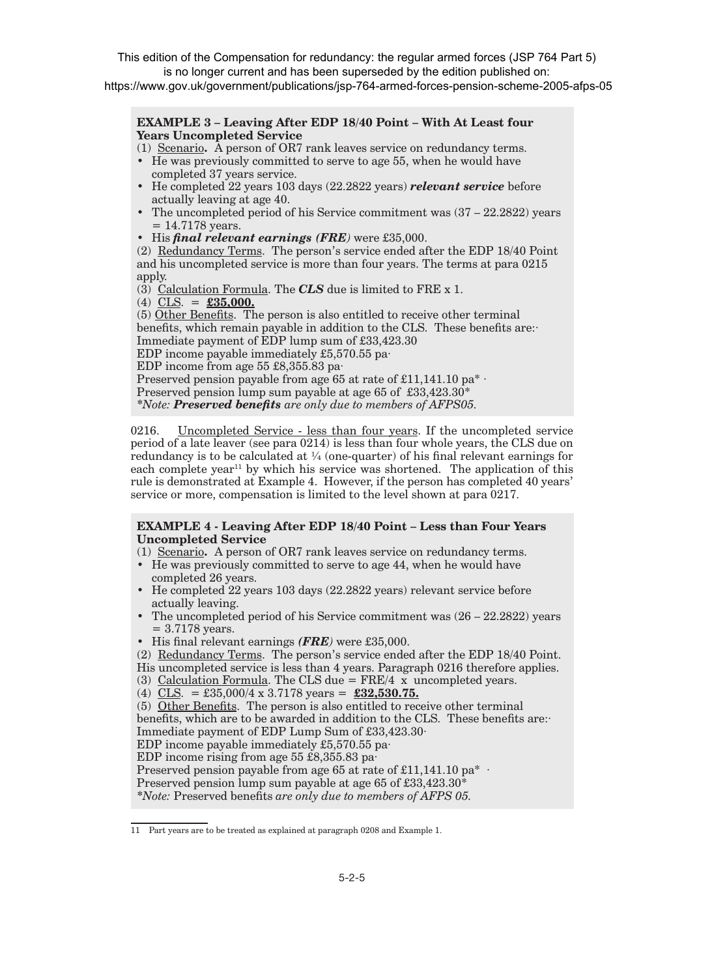https://www.gov.uk/government/publications/jsp-764-armed-forces-pension-scheme-2005-afps-05

## **EXAMPLE 3 – Leaving After EDP 18/40 Point – With At Least four Years Uncompleted Service**

(1) Scenario**.** A person of OR7 rank leaves service on redundancy terms.

- He was previously committed to serve to age 55, when he would have completed 37 years service.
- He completed 22 years 103 days (22.2822 years) *relevant service* before actually leaving at age 40.
- The uncompleted period of his Service commitment was  $(37 22.2822)$  years  $= 14.7178$  years.
- His *final relevant earnings (FRE)* were £35,000.

(2) Redundancy Terms. The person's service ended after the EDP 18/40 Point and his uncompleted service is more than four years. The terms at para 0215 apply.

- (3) Calculation Formula. The *CLS* due is limited to FRE x 1.
- (4) CLS. = **£35,000.**

(5) Other Benefits. The person is also entitled to receive other terminal benefits, which remain payable in addition to the CLS. These benefits are: Immediate payment of EDP lump sum of £33,423.30

EDP income payable immediately £5,570.55 pa·

EDP income from age 55 £8,355.83 pa·

Preserved pension payable from age 65 at rate of £11,141.10 pa<sup>\*</sup>  $\cdot$ 

Preserved pension lump sum payable at age 65 of £33,423.30\*

*\*Note: Preserved benefi ts are only due to members of AFPS05.* 

0216. Uncompleted Service - less than four years. If the uncompleted service period of a late leaver (see para 0214) is less than four whole years, the CLS due on redundancy is to be calculated at  $\frac{1}{4}$  (one-quarter) of his final relevant earnings for each complete year<sup>11</sup> by which his service was shortened. The application of this rule is demonstrated at Example 4. However, if the person has completed 40 years' service or more, compensation is limited to the level shown at para 0217.

## **EXAMPLE 4 - Leaving After EDP 18/40 Point – Less than Four Years Uncompleted Service**

(1) Scenario**.** A person of OR7 rank leaves service on redundancy terms.

- He was previously committed to serve to age 44, when he would have completed 26 years.
- He completed 22 years 103 days (22.2822 years) relevant service before actually leaving.
- The uncompleted period of his Service commitment was  $(26 22.2822)$  years  $= 3.7178$  years.
- His final relevant earnings *(FRE)* were £35,000.

(2) Redundancy Terms. The person's service ended after the EDP 18/40 Point. His uncompleted service is less than 4 years. Paragraph 0216 therefore applies.

- (3) Calculation Formula. The CLS due  $=$  FRE/4 x uncompleted years.
- (4) CLS. = £35,000/4 x 3.7178 years = **£32,530.75.**

(5) Other Benefits. The person is also entitled to receive other terminal benefits, which are to be awarded in addition to the CLS. These benefits are: $\cdot$ Immediate payment of EDP Lump Sum of £33,423.30·

EDP income payable immediately £5,570.55 pa·

EDP income rising from age 55 £8,355.83 pa·

Preserved pension payable from age 65 at rate of £11,141.10 pa\* ·

Preserved pension lump sum payable at age 65 of £33,423.30\*

\*Note: Preserved benefits are only due to members of AFPS 05.

<sup>11</sup> Part years are to be treated as explained at paragraph 0208 and Example 1.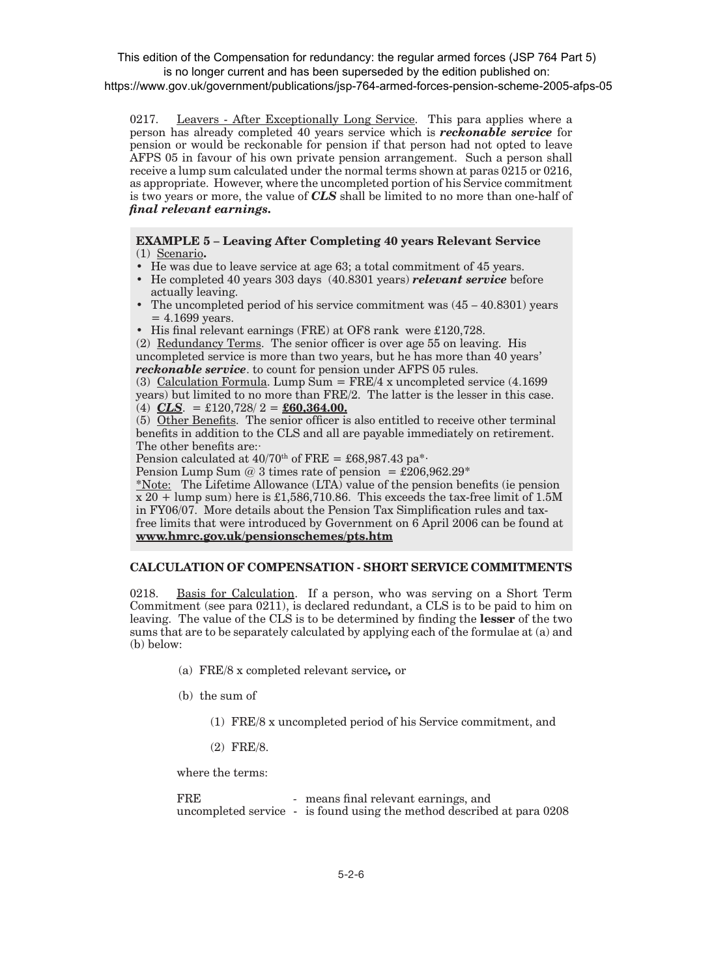*fi nal relevant earnings.* 0217. Leavers - After Exceptionally Long Service. This para applies where a person has already completed 40 years service which is *reckonable service* for pension or would be reckonable for pension if that person had not opted to leave AFPS 05 in favour of his own private pension arrangement. Such a person shall receive a lump sum calculated under the normal terms shown at paras 0215 or 0216, as appropriate. However, where the uncompleted portion of his Service commitment is two years or more, the value of *CLS* shall be limited to no more than one-half of

## **EXAMPLE 5 – Leaving After Completing 40 years Relevant Service**

(1) Scenario**.** 

- He was due to leave service at age 63; a total commitment of 45 years.
- He completed 40 years 303 days (40.8301 years) *relevant service* before actually leaving.
- The uncompleted period of his service commitment was  $(45 40.8301)$  years  $= 4.1699$  years.
- His final relevant earnings (FRE) at OF8 rank were £120,728.

 $(2)$  Redundancy Terms. The senior officer is over age 55 on leaving. His uncompleted service is more than two years, but he has more than 40 years' *reckonable service*. to count for pension under AFPS 05 rules.

(3) Calculation Formula. Lump Sum =  $FRE/4$  x uncompleted service (4.1699) years) but limited to no more than FRE/2. The latter is the lesser in this case. (4) *CLS*. = £120,728/ 2 = **£60,364.00.** 

(5) Other Benefits. The senior officer is also entitled to receive other terminal benefits in addition to the CLS and all are payable immediately on retirement. The other benefits are:

Pension calculated at  $40/70^{th}$  of FRE = £68,987.43 pa<sup>\*</sup>

Pension Lump Sum @ 3 times rate of pension =  $\pounds 206,962.29^*$ 

\*Note: The Lifetime Allowance (LTA) value of the pension benefits (ie pension  $x 20 +$  lump sum) here is £1,586,710.86. This exceeds the tax-free limit of 1.5M in FY06/07. More details about the Pension Tax Simplification rules and taxfree limits that were introduced by Government on 6 April 2006 can be found at **www.hmrc.gov.uk/pensionschemes/pts.htm** 

## **CALCULATION OF COMPENSATION - SHORT SERVICE COMMITMENTS**

0218. Basis for Calculation. If a person, who was serving on a Short Term Commitment (see para 0211), is declared redundant, a CLS is to be paid to him on leaving. The value of the CLS is to be determined by finding the **lesser** of the two sums that are to be separately calculated by applying each of the formulae at (a) and (b) below:

- (a) FRE/8 x completed relevant service*,* or
- (b) the sum of
	- (1) FRE/8 x uncompleted period of his Service commitment, and
	- (2) FRE/8.

where the terms:

 FRE *-* means final relevant earnings, and uncompleted service - is found using the method described at para 0208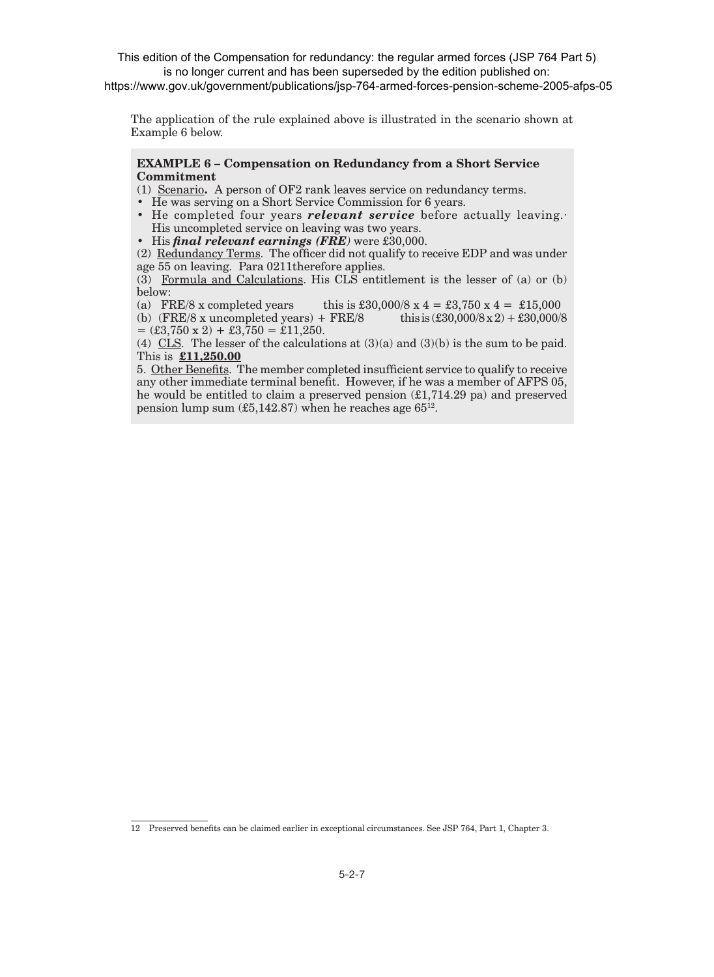https://www.gov.uk/government/publications/jsp-764-armed-forces-pension-scheme-2005-afps-05

The application of the rule explained above is illustrated in the scenario shown at Example 6 below.

## **EXAMPLE 6 – Compensation on Redundancy from a Short Service Commitment**

(1) Scenario**.** A person of OF2 rank leaves service on redundancy terms.

- He was serving on a Short Service Commission for 6 years.
- He completed four years *relevant service* before actually leaving. His uncompleted service on leaving was two years.
- His *final relevant earnings (FRE)* were £30,000.

(2) Redundancy Terms. The officer did not qualify to receive EDP and was under age 55 on leaving. Para 0211therefore applies.

(3) Formula and Calculations. His CLS entitlement is the lesser of (a) or (b) below:

- (a) FRE/8 x completed years this is £30,000/8 x 4 = £3,750 x 4 = £15,000
- (b) (FRE/8 x uncompleted years) + FRE/8 this is  $(\text{\pounds}30,000/8 \times 2) + \text{\pounds}30,000/8$  $=$  (£3,750 x 2) + £3,750 = £11,250.

(4) CLS. The lesser of the calculations at (3)(a) and (3)(b) is the sum to be paid. This is **£11,250.00** 

5. Other Benefits. The member completed insufficient service to qualify to receive any other immediate terminal benefit. However, if he was a member of AFPS 05, he would be entitled to claim a preserved pension (£1,714.29 pa) and preserved pension lump sum  $(\text{\textsterling}5,142.87)$  when he reaches age 65<sup>12</sup>.

<sup>12</sup> Preserved benefits can be claimed earlier in exceptional circumstances. See JSP 764, Part 1, Chapter 3.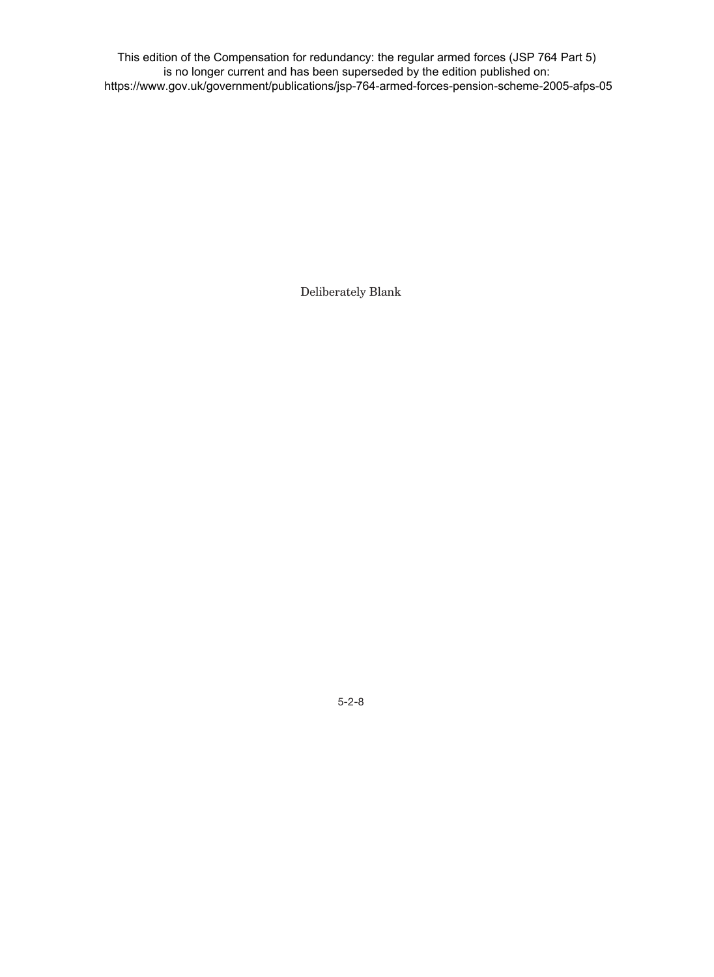Deliberately Blank

5-2-8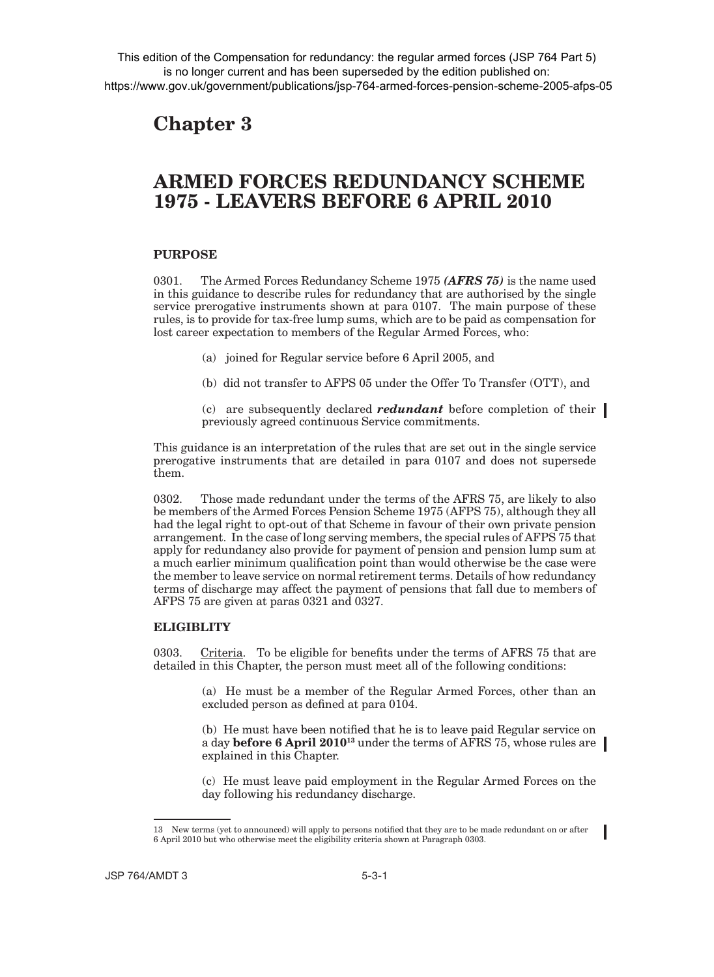# **Chapter 3**

## **ARMED FORCES REDUNDANCY SCHEME 1975 - LEAVERS BEFORE 6 APRIL 2010**

## **PURPOSE**

0301. The Armed Forces Redundancy Scheme 1975 *(AFRS 75)* is the name used in this guidance to describe rules for redundancy that are authorised by the single service prerogative instruments shown at para 0107. The main purpose of these rules, is to provide for tax-free lump sums, which are to be paid as compensation for lost career expectation to members of the Regular Armed Forces, who:

- (a) joined for Regular service before 6 April 2005, and
- (b) did not transfer to AFPS 05 under the Offer To Transfer (OTT), and
- (c) are subsequently declared *redundant* before completion of their previously agreed continuous Service commitments.

This guidance is an interpretation of the rules that are set out in the single service prerogative instruments that are detailed in para 0107 and does not supersede them.

0302. Those made redundant under the terms of the AFRS 75, are likely to also be members of the Armed Forces Pension Scheme 1975 (AFPS 75), although they all had the legal right to opt-out of that Scheme in favour of their own private pension arrangement. In the case of long serving members, the special rules of AFPS 75 that apply for redundancy also provide for payment of pension and pension lump sum at a much earlier minimum qualification point than would otherwise be the case were the member to leave service on normal retirement terms. Details of how redundancy terms of discharge may affect the payment of pensions that fall due to members of AFPS 75 are given at paras 0321 and 0327.

## **ELIGIBLITY**

0303. Criteria. To be eligible for benefits under the terms of AFRS 75 that are detailed in this Chapter, the person must meet all of the following conditions:

> (a) He must be a member of the Regular Armed Forces, other than an excluded person as defined at para 0104.

(b) He must have been notified that he is to leave paid Regular service on a day **before 6 April 2010**<sup>13</sup> under the terms of AFRS 75, whose rules are explained in this Chapter.

(c) He must leave paid employment in the Regular Armed Forces on the day following his redundancy discharge.

I

<sup>13</sup> New terms (yet to announced) will apply to persons notified that they are to be made redundant on or after 6 April 2010 but who otherwise meet the eligibility criteria shown at Paragraph 0303.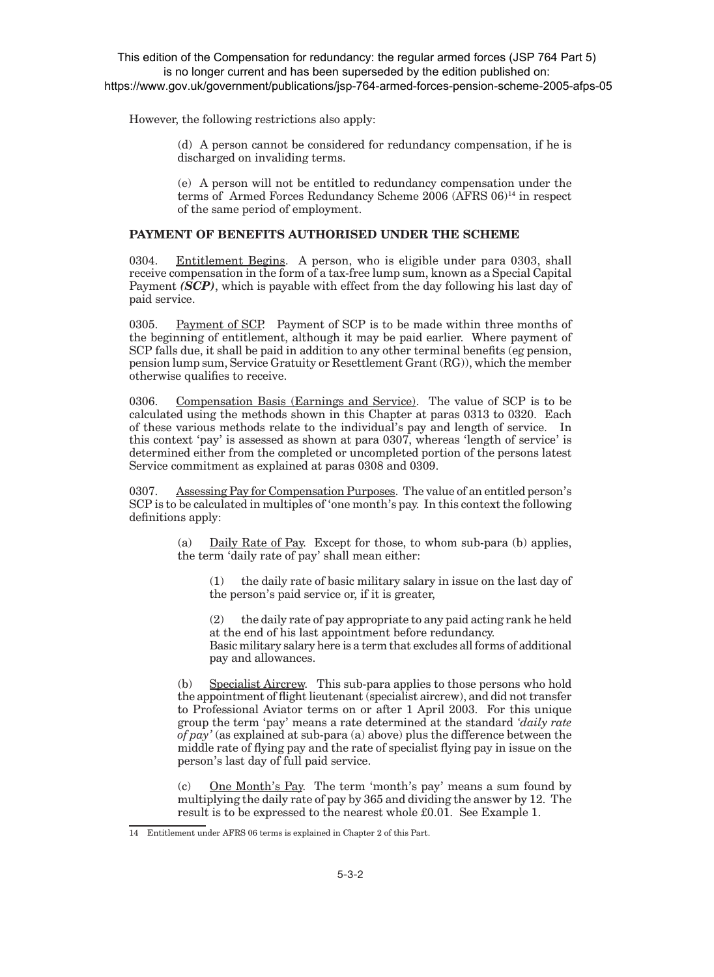However, the following restrictions also apply:

(d) A person cannot be considered for redundancy compensation, if he is discharged on invaliding terms.

(e) A person will not be entitled to redundancy compensation under the terms of Armed Forces Redundancy Scheme 2006 (AFRS 06)<sup>14</sup> in respect of the same period of employment.

## **PAYMENT OF BENEFITS AUTHORISED UNDER THE SCHEME**

0304. Entitlement Begins. A person, who is eligible under para 0303, shall receive compensation in the form of a tax-free lump sum, known as a Special Capital Payment *(SCP)*, which is payable with effect from the day following his last day of paid service.

0305. Payment of SCP. Payment of SCP is to be made within three months of the beginning of entitlement, although it may be paid earlier. Where payment of SCP falls due, it shall be paid in addition to any other terminal benefits (eg pension, pension lump sum, Service Gratuity or Resettlement Grant (RG)), which the member otherwise qualifies to receive.

0306. Compensation Basis (Earnings and Service). The value of SCP is to be calculated using the methods shown in this Chapter at paras 0313 to 0320. Each of these various methods relate to the individual's pay and length of service. In this context 'pay' is assessed as shown at para 0307, whereas 'length of service' is determined either from the completed or uncompleted portion of the persons latest Service commitment as explained at paras 0308 and 0309.

0307. Assessing Pay for Compensation Purposes. The value of an entitled person's SCP is to be calculated in multiples of 'one month's pay. In this context the following definitions apply:

> (a) Daily Rate of Pay. Except for those, to whom sub-para (b) applies, the term 'daily rate of pay' shall mean either:

(1) the daily rate of basic military salary in issue on the last day of the person's paid service or, if it is greater,

(2) the daily rate of pay appropriate to any paid acting rank he held at the end of his last appointment before redundancy.

Basic military salary here is a term that excludes all forms of additional pay and allowances.

(b) Specialist Aircrew. This sub-para applies to those persons who hold the appointment of flight lieutenant (specialist aircrew), and did not transfer to Professional Aviator terms on or after 1 April 2003. For this unique group the term 'pay' means a rate determined at the standard *'daily rate of pay'* (as explained at sub-para (a) above) plus the difference between the middle rate of flying pay and the rate of specialist flying pay in issue on the person's last day of full paid service.

(c) One Month's Pay. The term 'month's pay' means a sum found by multiplying the daily rate of pay by 365 and dividing the answer by 12. The result is to be expressed to the nearest whole £0.01. See Example 1.

<sup>14</sup> Entitlement under AFRS 06 terms is explained in Chapter 2 of this Part.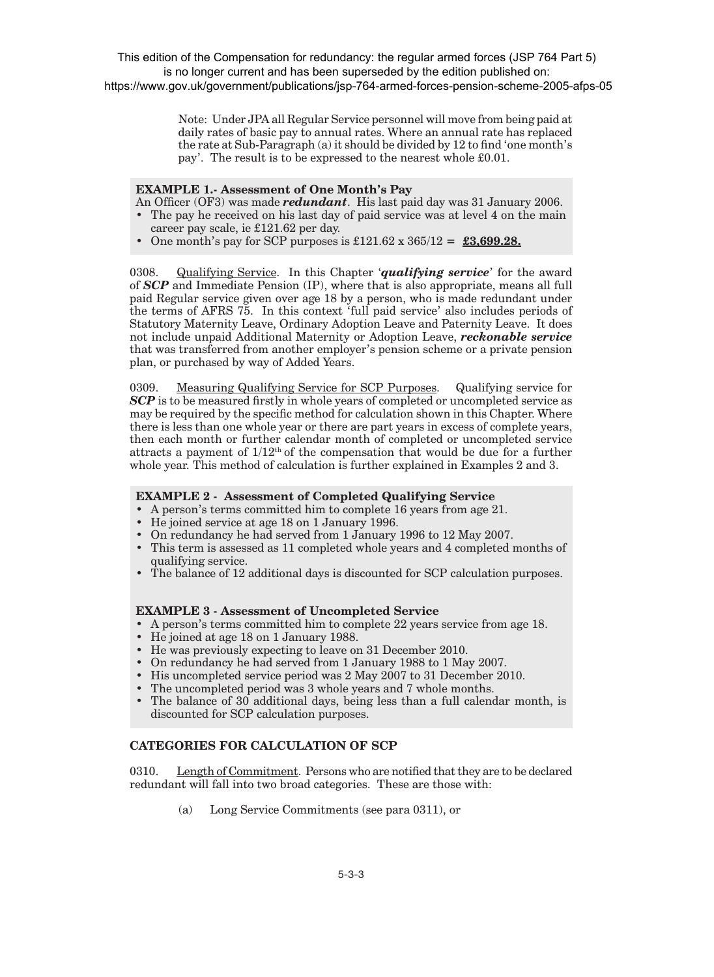> Note: Under JPA all Regular Service personnel will move from being paid at daily rates of basic pay to annual rates. Where an annual rate has replaced the rate at Sub-Paragraph (a) it should be divided by 12 to find 'one month's pay'. The result is to be expressed to the nearest whole £0.01.

## **EXAMPLE 1.- Assessment of One Month's Pay**

An Officer (OF3) was made *redundant*. His last paid day was 31 January 2006.

- The pay he received on his last day of paid service was at level 4 on the main career pay scale, ie £121.62 per day.
- One month's pay for SCP purposes is  $\text{\pounds}121.62 \times 365/12 = \text{\pounds}3.699.28$ .

0308. Qualifying Service. In this Chapter '*qualifying service*' for the award of *SCP* and Immediate Pension (IP), where that is also appropriate, means all full paid Regular service given over age 18 by a person, who is made redundant under the terms of AFRS 75. In this context 'full paid service' also includes periods of Statutory Maternity Leave, Ordinary Adoption Leave and Paternity Leave. It does not include unpaid Additional Maternity or Adoption Leave, *reckonable service*  that was transferred from another employer's pension scheme or a private pension plan, or purchased by way of Added Years.

0309. Measuring Qualifying Service for SCP Purposes. Qualifying service for *SCP* is to be measured firstly in whole years of completed or uncompleted service as may be required by the specific method for calculation shown in this Chapter. Where there is less than one whole year or there are part years in excess of complete years, then each month or further calendar month of completed or uncompleted service attracts a payment of  $1/12<sup>th</sup>$  of the compensation that would be due for a further whole year. This method of calculation is further explained in Examples 2 and 3.

## **EXAMPLE 2 - Assessment of Completed Qualifying Service**

- A person's terms committed him to complete 16 years from age 21.
- He joined service at age 18 on 1 January 1996.
- On redundancy he had served from 1 January 1996 to 12 May 2007.
- This term is assessed as 11 completed whole years and 4 completed months of qualifying service.
- The balance of 12 additional days is discounted for SCP calculation purposes.

## **EXAMPLE 3 - Assessment of Uncompleted Service**

- A person's terms committed him to complete 22 years service from age 18.
- He joined at age 18 on 1 January 1988.
- He was previously expecting to leave on 31 December 2010.
- On redundancy he had served from 1 January 1988 to 1 May 2007.
- His uncompleted service period was 2 May 2007 to 31 December 2010.
- The uncompleted period was 3 whole years and 7 whole months.
- The balance of 30 additional days, being less than a full calendar month, is discounted for SCP calculation purposes.

## **CATEGORIES FOR CALCULATION OF SCP**

0310. Length of Commitment. Persons who are notified that they are to be declared redundant will fall into two broad categories. These are those with:

(a) Long Service Commitments (see para 0311), or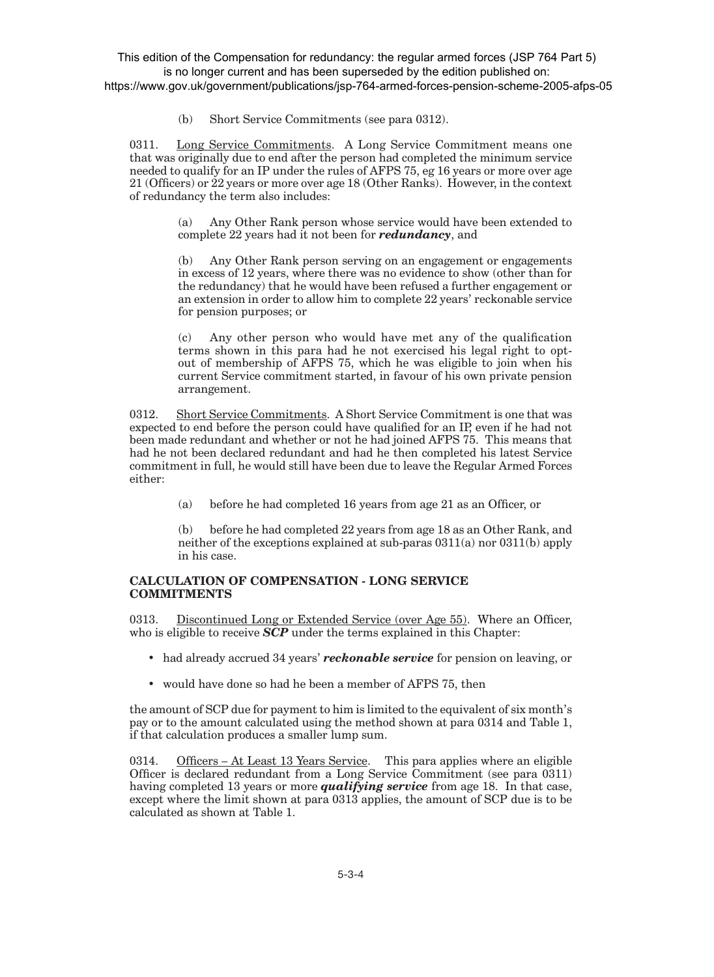(b) Short Service Commitments (see para 0312).

0311. Long Service Commitments. A Long Service Commitment means one that was originally due to end after the person had completed the minimum service needed to qualify for an IP under the rules of AFPS 75, eg 16 years or more over age 21 (Officers) or 22 years or more over age 18 (Other Ranks). However, in the context of redundancy the term also includes:

> (a) Any Other Rank person whose service would have been extended to complete 22 years had it not been for *redundancy*, and

> (b) Any Other Rank person serving on an engagement or engagements in excess of 12 years, where there was no evidence to show (other than for the redundancy) that he would have been refused a further engagement or an extension in order to allow him to complete 22 years' reckonable service for pension purposes; or

> $(c)$  Any other person who would have met any of the qualification terms shown in this para had he not exercised his legal right to optout of membership of AFPS 75, which he was eligible to join when his current Service commitment started, in favour of his own private pension arrangement.

0312. Short Service Commitments. A Short Service Commitment is one that was expected to end before the person could have qualified for an IP, even if he had not been made redundant and whether or not he had joined AFPS 75. This means that had he not been declared redundant and had he then completed his latest Service commitment in full, he would still have been due to leave the Regular Armed Forces either:

(a) before he had completed  $16$  years from age  $21$  as an Officer, or

(b) before he had completed 22 years from age 18 as an Other Rank, and neither of the exceptions explained at sub-paras 0311(a) nor 0311(b) apply in his case.

## **CALCULATION OF COMPENSATION - LONG SERVICE COMMITMENTS**

0313. Discontinued Long or Extended Service (over Age  $55$ ). Where an Officer, who is eligible to receive *SCP* under the terms explained in this Chapter:

- had already accrued 34 years' *reckonable service* for pension on leaving, or
- would have done so had he been a member of AFPS 75, then

the amount of SCP due for payment to him is limited to the equivalent of six month's pay or to the amount calculated using the method shown at para 0314 and Table 1, if that calculation produces a smaller lump sum.

0314. Officers – At Least 13 Years Service. This para applies where an eligible Officer is declared redundant from a Long Service Commitment (see para 0311) having completed 13 years or more *qualifying service* from age 18. In that case, except where the limit shown at para 0313 applies, the amount of SCP due is to be calculated as shown at Table 1.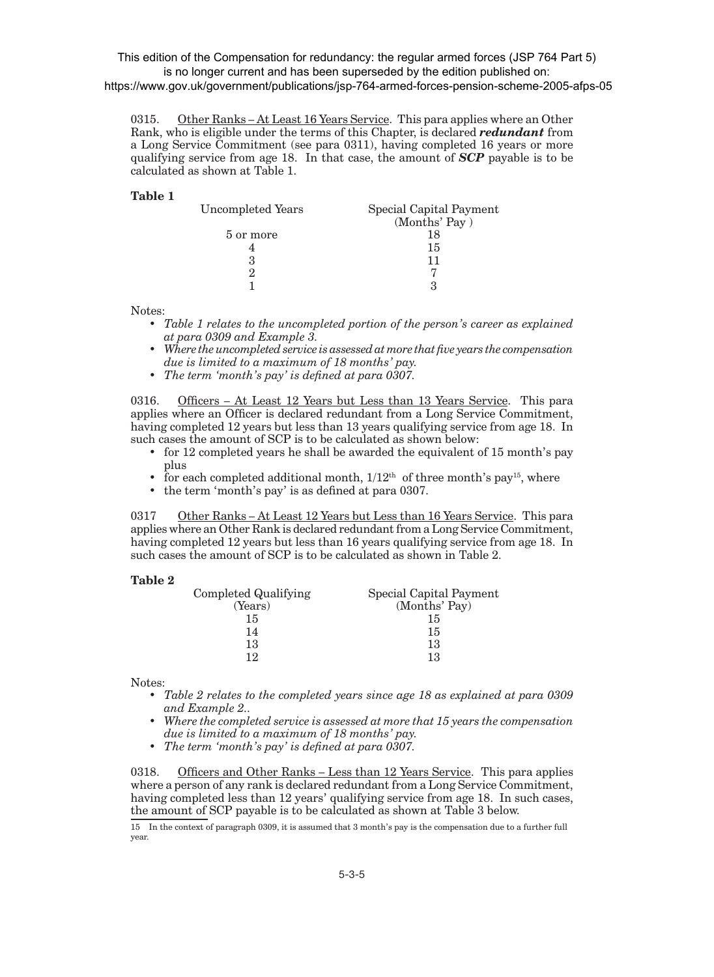0315. Other Ranks – At Least 16 Years Service. This para applies where an Other Rank, who is eligible under the terms of this Chapter, is declared *redundant* from a Long Service Commitment (see para 0311), having completed 16 years or more qualifying service from age 18. In that case, the amount of *SCP* payable is to be calculated as shown at Table 1.

## **Table 1**

| <b>Uncompleted Years</b> | Special Capital Payment |
|--------------------------|-------------------------|
|                          | (Months' Pay)           |
| 5 or more                | 18                      |
|                          | 15                      |
|                          |                         |
|                          |                         |
|                          |                         |

Notes:

- Table 1 relates to the uncompleted portion of the person's career as explained *at para 0309 and Example 3.*
- *Where the uncompleted service is assessed at more that five years the compensation due is limited to a maximum of 18 months' pay.*
- The term 'month's pay' is defined at para  $0.307$ .

0316. Officers – At Least 12 Years but Less than 13 Years Service. This para applies where an Officer is declared redundant from a Long Service Commitment, having completed 12 years but less than 13 years qualifying service from age 18. In such cases the amount of SCP is to be calculated as shown below:

- for 12 completed years he shall be awarded the equivalent of 15 month's pay plus
- for each completed additional month,  $1/12<sup>th</sup>$  of three month's pay<sup>15</sup>, where
- the term 'month's pay' is as defined at para 0307.

0317 Other Ranks – At Least 12 Years but Less than 16 Years Service. This para applies where an Other Rank is declared redundant from a Long Service Commitment, having completed 12 years but less than 16 years qualifying service from age 18. In such cases the amount of SCP is to be calculated as shown in Table 2.

## **Table 2**

| Completed Qualifying | Special Capital Payment |
|----------------------|-------------------------|
| (Years)              | (Months' Pay)           |
| 15                   | 15                      |
| 14                   | 15                      |
| 13                   | 13                      |
| 1 ດ                  |                         |

Notes:

- *Table 2 relates to the completed years since age 18 as explained at para 0309 and Example 2..*
- *Where the completed service is assessed at more that 15 years the compensation due is limited to a maximum of 18 months' pay.*
- *The term 'month's pay' is defined at para 0307.*

0318. Officers and Other Ranks – Less than 12 Years Service. This para applies where a person of any rank is declared redundant from a Long Service Commitment, having completed less than 12 years' qualifying service from age 18. In such cases, the amount of SCP payable is to be calculated as shown at Table 3 below.

15 In the context of paragraph 0309, it is assumed that 3 month's pay is the compensation due to a further full year.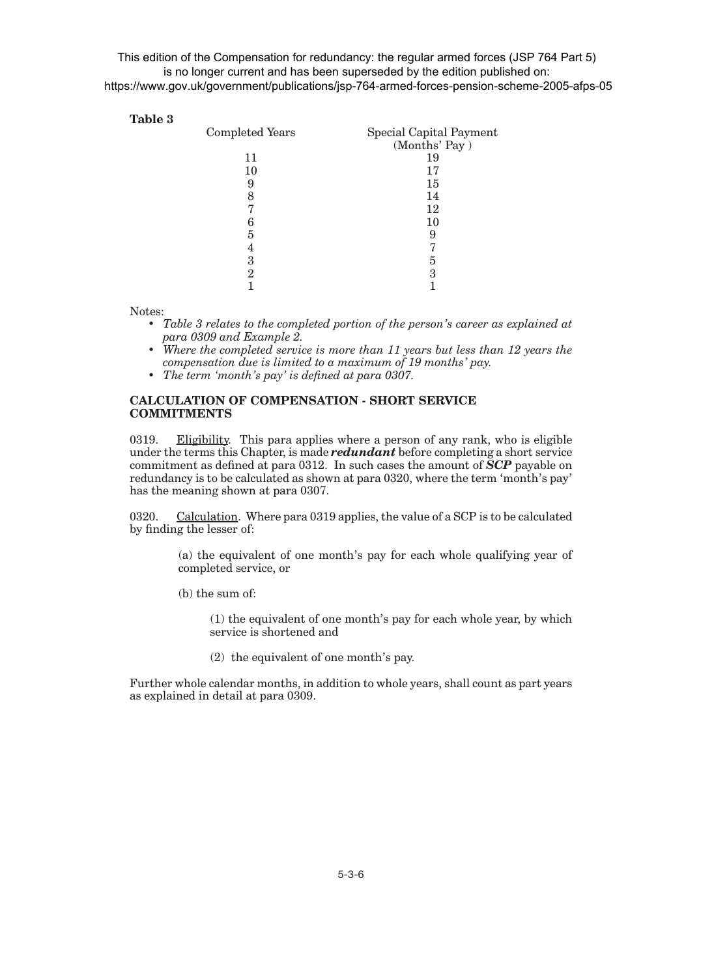## **Table 3**

| $\sim$ |                             |                         |
|--------|-----------------------------|-------------------------|
|        | <b>Completed Years</b>      | Special Capital Payment |
|        |                             | (Months' Pay)           |
|        | 11                          | 19                      |
|        | 10                          | 17                      |
|        | 9                           | 15                      |
|        | 8                           | 14                      |
|        |                             | 12                      |
|        | 6                           | 10                      |
|        | 5                           | 9                       |
|        | 4                           | 7                       |
|        | 3                           | 5                       |
|        | $\mathcal{D}_{\mathcal{L}}$ | 3                       |
|        |                             |                         |
|        |                             |                         |

Notes:

- Table 3 relates to the completed portion of the person's career as explained at *para 0309 and Example 2.*
- Where the completed service is more than 11 years but less than 12 years the *compensation due is limited to a maximum of 19 months' pay.*
- The term 'month's pay' is defined at para 0307.

## **CALCULATION OF COMPENSATION - SHORT SERVICE COMMITMENTS**

0319. Eligibility. This para applies where a person of any rank, who is eligible under the terms this Chapter, is made *redundant* before completing a short service commitment as defined at para 0312. In such cases the amount of *SCP* payable on redundancy is to be calculated as shown at para 0320, where the term 'month's pay' has the meaning shown at para 0307.

0320. Calculation. Where para 0319 applies, the value of a SCP is to be calculated by finding the lesser of:

> (a) the equivalent of one month's pay for each whole qualifying year of completed service, or

(b) the sum of:

(1) the equivalent of one month's pay for each whole year, by which service is shortened and

(2) the equivalent of one month's pay.

Further whole calendar months, in addition to whole years, shall count as part years as explained in detail at para 0309.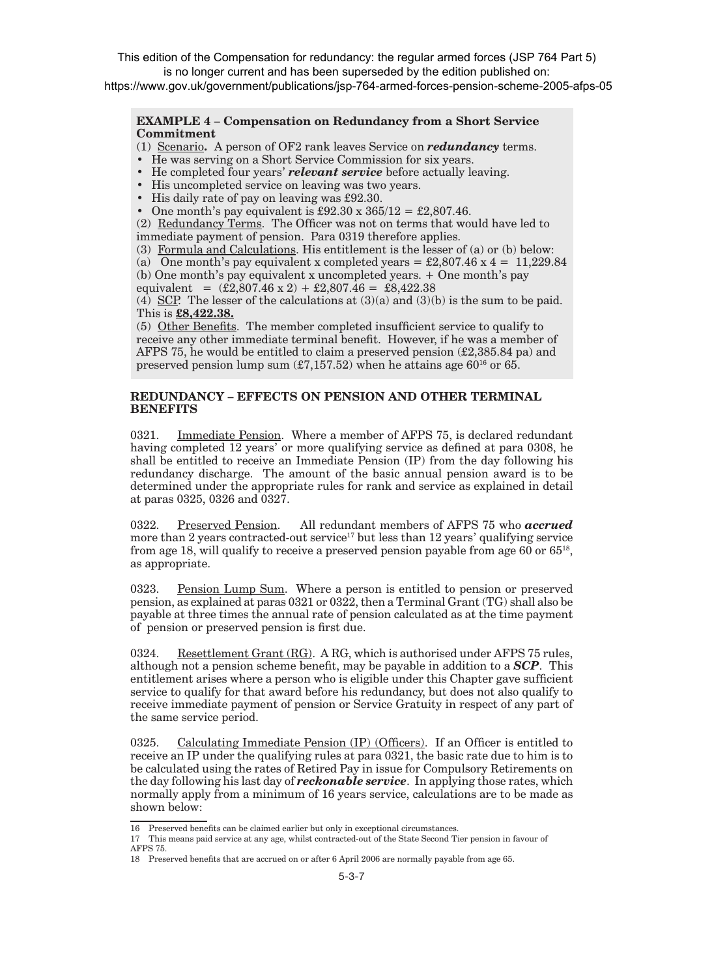https://www.gov.uk/government/publications/jsp-764-armed-forces-pension-scheme-2005-afps-05

## **EXAMPLE 4 – Compensation on Redundancy from a Short Service Commitment**

(1) Scenario**.** A person of OF2 rank leaves Service on *redundancy* terms.

- He was serving on a Short Service Commission for six years.
- He completed four years' *relevant service* before actually leaving.
- His uncompleted service on leaving was two years.
- His daily rate of pay on leaving was £92.30.
- One month's pay equivalent is £92.30 x  $365/12 = \text{\pounds}2,807.46$ .

(2) Redundancy Terms. The Officer was not on terms that would have led to immediate payment of pension. Para 0319 therefore applies.

(3) Formula and Calculations. His entitlement is the lesser of (a) or (b) below:

(a) One month's pay equivalent x completed years =  $\text{\pounds}2,807.46 \text{ x } 4 = 11,229.84$ 

- (b) One month's pay equivalent x uncompleted years. + One month's pay
- equivalent =  $(\text{\textsterling}2,807.46 \times 2) + \text{\textsterling}2,807.46 = \text{\textsterling}8,422.38$

(4) SCP. The lesser of the calculations at  $(3)(a)$  and  $(3)(b)$  is the sum to be paid. This is **£8,422.38.** 

(5) Other Benefits. The member completed insufficient service to qualify to receive any other immediate terminal benefit. However, if he was a member of AFPS 75, he would be entitled to claim a preserved pension (£2,385.84 pa) and preserved pension lump sum  $(\text{\textsterling}7,157.52)$  when he attains age 60<sup>16</sup> or 65.

## **REDUNDANCY – EFFECTS ON PENSION AND OTHER TERMINAL BENEFITS**

0321. Immediate Pension. Where a member of AFPS 75, is declared redundant having completed 12 years' or more qualifying service as defined at para 0308, he shall be entitled to receive an Immediate Pension (IP) from the day following his redundancy discharge. The amount of the basic annual pension award is to be determined under the appropriate rules for rank and service as explained in detail at paras 0325, 0326 and 0327.

0322. Preserved Pension. All redundant members of AFPS 75 who *accrued*  more than 2 years contracted-out service<sup>17</sup> but less than 12 years' qualifying service from age 18, will qualify to receive a preserved pension payable from age 60 or  $65^{18}$ , as appropriate.

0323. Pension Lump Sum. Where a person is entitled to pension or preserved pension, as explained at paras 0321 or 0322, then a Terminal Grant (TG) shall also be payable at three times the annual rate of pension calculated as at the time payment of pension or preserved pension is first due.

0324. Resettlement Grant (RG). A RG, which is authorised under AFPS 75 rules, although not a pension scheme benefit, may be payable in addition to a *SCP*. This entitlement arises where a person who is eligible under this Chapter gave sufficient service to qualify for that award before his redundancy, but does not also qualify to receive immediate payment of pension or Service Gratuity in respect of any part of the same service period.

0325. Calculating Immediate Pension (IP) (Officers). If an Officer is entitled to receive an IP under the qualifying rules at para 0321, the basic rate due to him is to be calculated using the rates of Retired Pay in issue for Compulsory Retirements on the day following his last day of *reckonable service*. In applying those rates, which normally apply from a minimum of 16 years service, calculations are to be made as shown below:

17 This means paid service at any age, whilst contracted-out of the State Second Tier pension in favour of AFPS 75.

<sup>16</sup> Preserved benefits can be claimed earlier but only in exceptional circumstances.

<sup>18</sup> Preserved benefits that are accrued on or after 6 April 2006 are normally payable from age 65.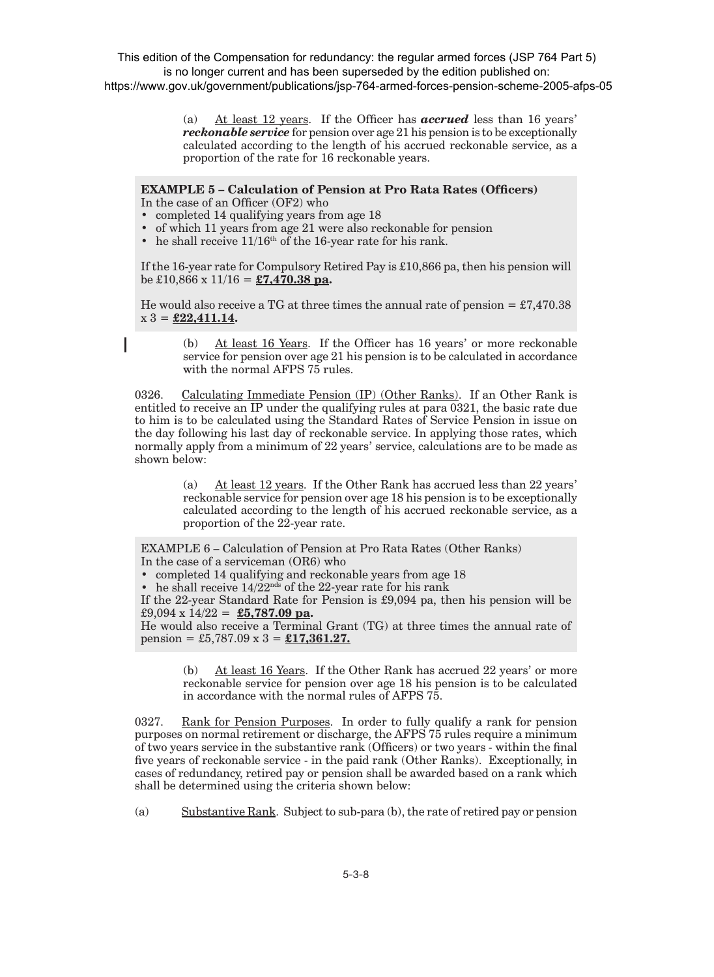> (a) At least 12 years. If the Officer has *accrued* less than 16 years' *reckonable service* for pension over age 21 his pension is to be exceptionally calculated according to the length of his accrued reckonable service, as a proportion of the rate for 16 reckonable years.

## **EXAMPLE 5 - Calculation of Pension at Pro Rata Rates (Officers)**

In the case of an Officer (OF2) who

I

- completed 14 qualifying years from age 18
- of which 11 years from age 21 were also reckonable for pension
- he shall receive  $11/16^{th}$  of the 16-year rate for his rank.

If the 16-year rate for Compulsory Retired Pay is £10,866 pa, then his pension will be £10,866 x 11/16 = **£7,470.38 pa.** 

He would also receive a TG at three times the annual rate of pension  $= \pounds 7,470.38$  $x 3 = \pounds22,411,14.$ 

(b) At least 16 Years. If the Officer has 16 years' or more reckonable service for pension over age 21 his pension is to be calculated in accordance with the normal AFPS 75 rules.

0326. Calculating Immediate Pension (IP) (Other Ranks). If an Other Rank is entitled to receive an IP under the qualifying rules at para 0321, the basic rate due to him is to be calculated using the Standard Rates of Service Pension in issue on the day following his last day of reckonable service. In applying those rates, which normally apply from a minimum of 22 years' service, calculations are to be made as shown below:

> (a) At least 12 years. If the Other Rank has accrued less than 22 years' reckonable service for pension over age 18 his pension is to be exceptionally calculated according to the length of his accrued reckonable service, as a proportion of the 22-year rate.

EXAMPLE 6 – Calculation of Pension at Pro Rata Rates (Other Ranks) In the case of a serviceman (OR6) who

• completed 14 qualifying and reckonable years from age 18

• he shall receive  $14/22^{nds}$  of the 22-year rate for his rank

If the 22-year Standard Rate for Pension is £9,094 pa, then his pension will be £9,094 x  $14/22 = 25,787.09$  pa.

He would also receive a Terminal Grant (TG) at three times the annual rate of pension = £5,787.09 x 3 = **£17,361.27.** 

(b) At least 16 Years. If the Other Rank has accrued 22 years' or more reckonable service for pension over age 18 his pension is to be calculated in accordance with the normal rules of AFPS 75.

0327. Rank for Pension Purposes. In order to fully qualify a rank for pension purposes on normal retirement or discharge, the AFPS 75 rules require a minimum of two years service in the substantive rank (Officers) or two years - within the final five years of reckonable service - in the paid rank (Other Ranks). Exceptionally, in cases of redundancy, retired pay or pension shall be awarded based on a rank which shall be determined using the criteria shown below:

(a) Substantive Rank. Subject to sub-para (b), the rate of retired pay or pension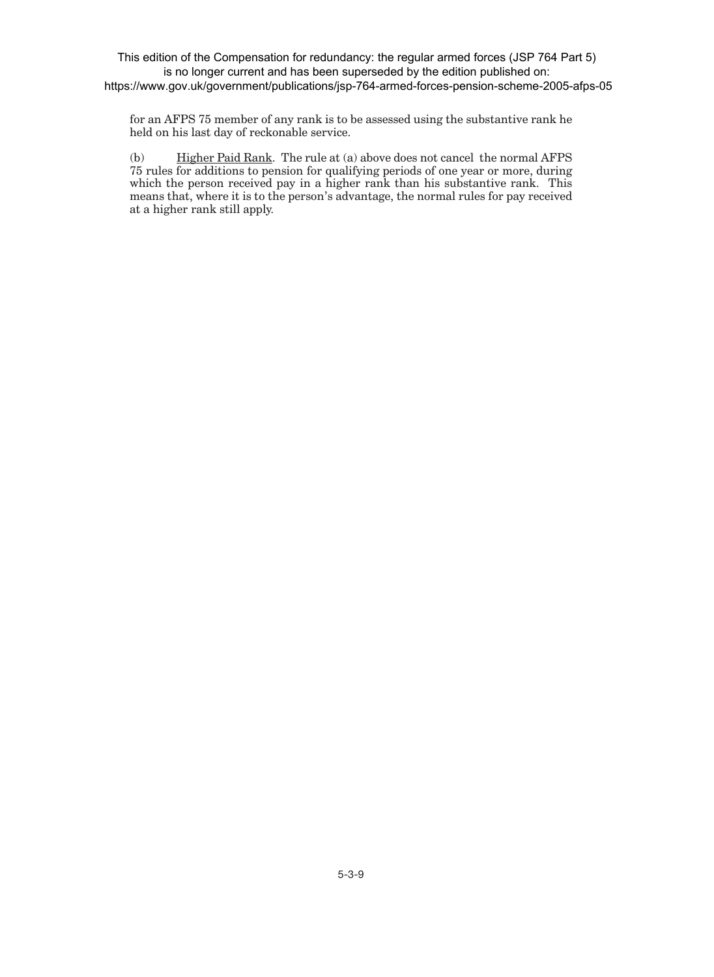for an AFPS 75 member of any rank is to be assessed using the substantive rank he held on his last day of reckonable service.

(b) Higher Paid Rank. The rule at (a) above does not cancel the normal AFPS 75 rules for additions to pension for qualifying periods of one year or more, during which the person received pay in a higher rank than his substantive rank. This means that, where it is to the person's advantage, the normal rules for pay received at a higher rank still apply.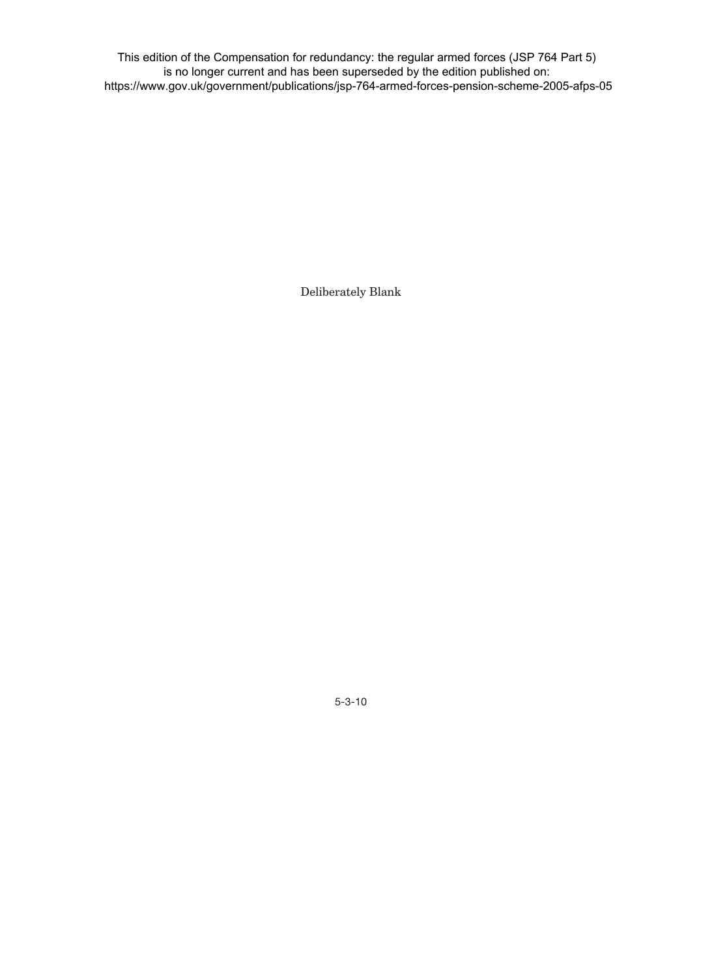Deliberately Blank

5-3-10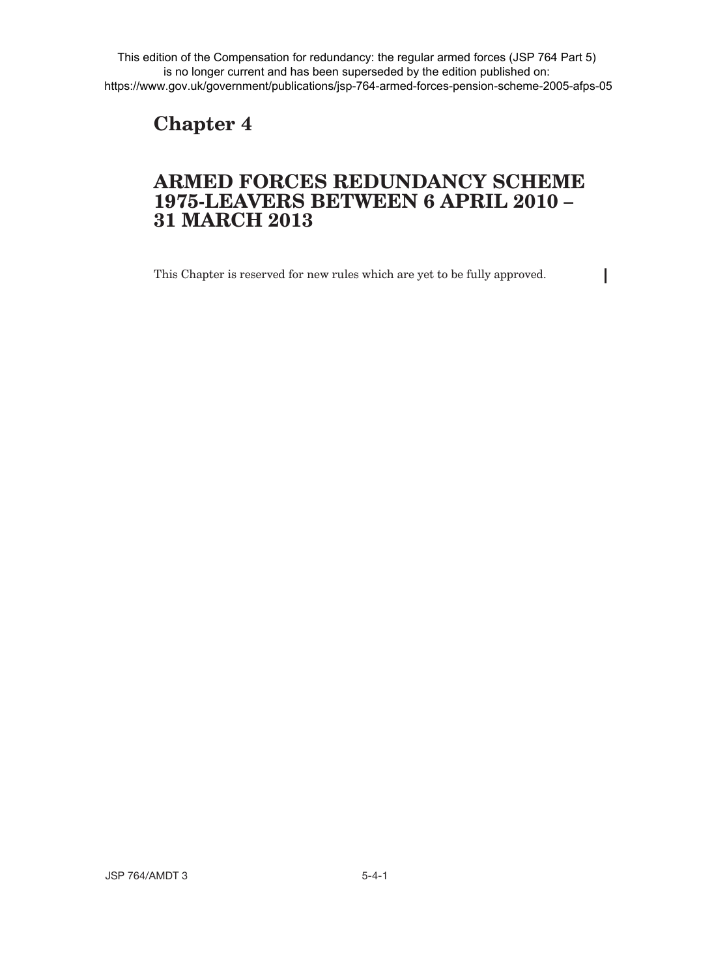# **Chapter 4**

# **ARMED FORCES REDUNDANCY SCHEME 1975-LEAVERS BETWEEN 6 APRIL 2010 – 31 MARCH 2013**

ı

This Chapter is reserved for new rules which are yet to be fully approved.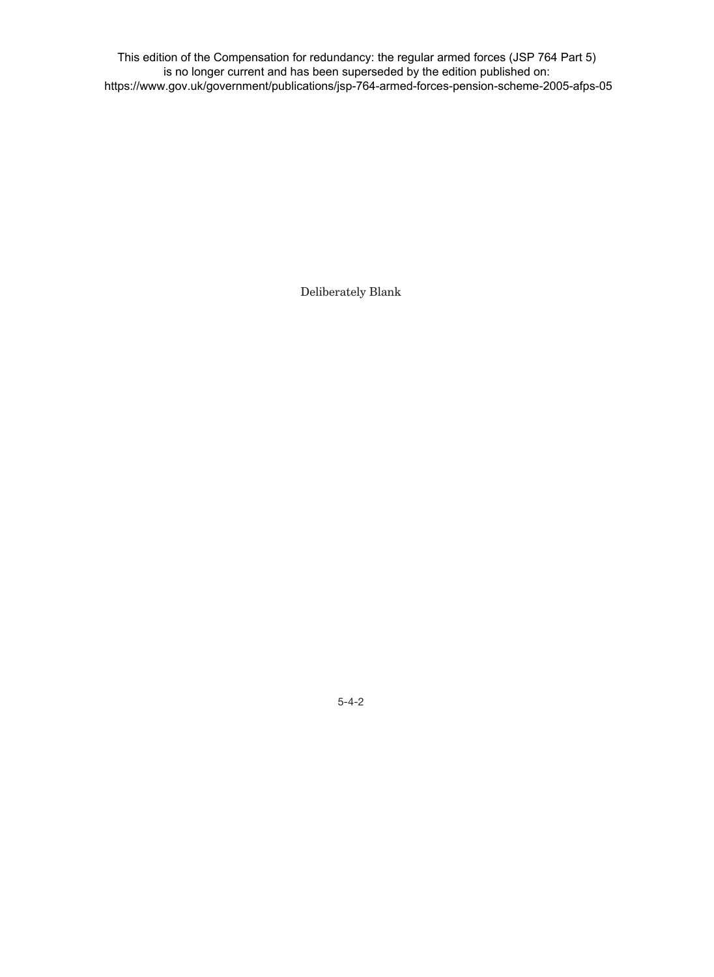Deliberately Blank

5-4-2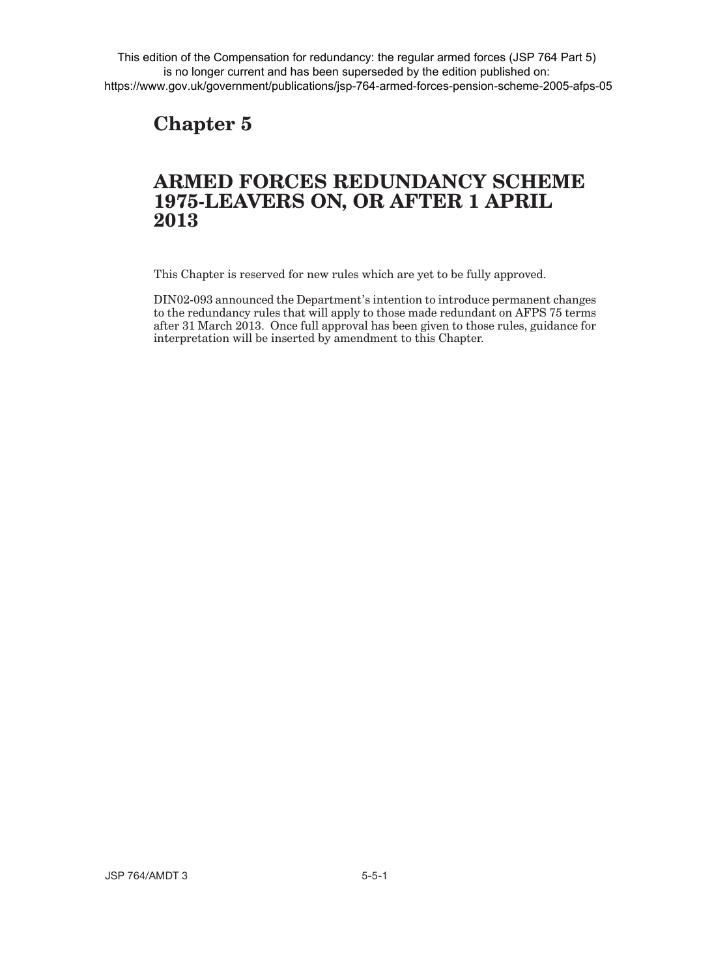# **Chapter 5**

## **ARMED FORCES REDUNDANCY SCHEME 1975-LEAVERS ON, OR AFTER 1 APRIL 2013**

This Chapter is reserved for new rules which are yet to be fully approved.

DIN02-093 announced the Department's intention to introduce permanent changes to the redundancy rules that will apply to those made redundant on AFPS 75 terms after 31 March 2013. Once full approval has been given to those rules, guidance for interpretation will be inserted by amendment to this Chapter.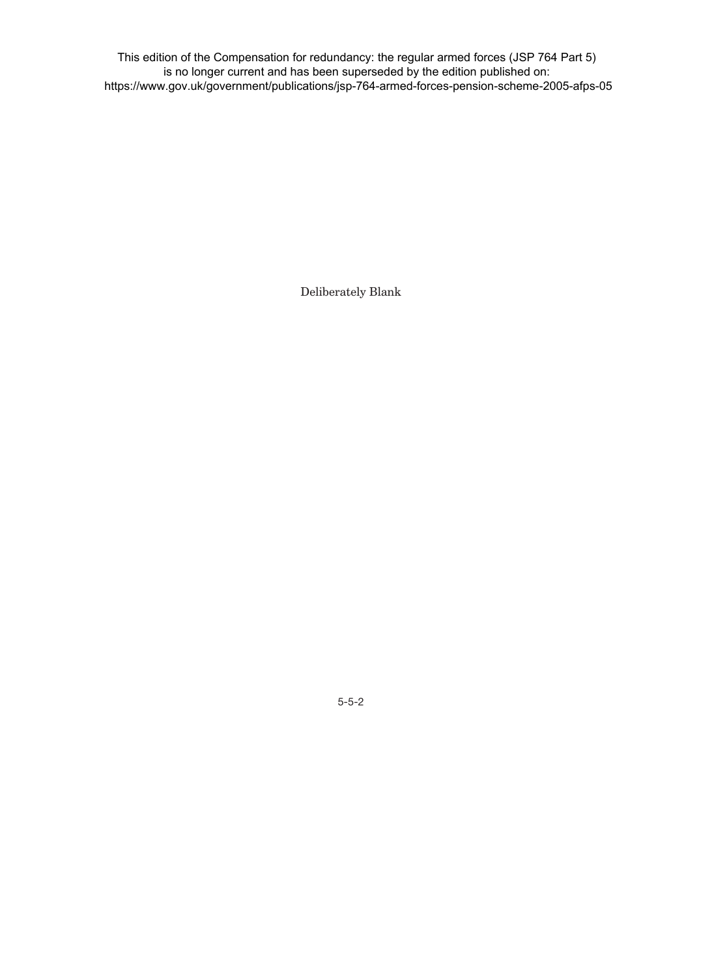Deliberately Blank

5-5-2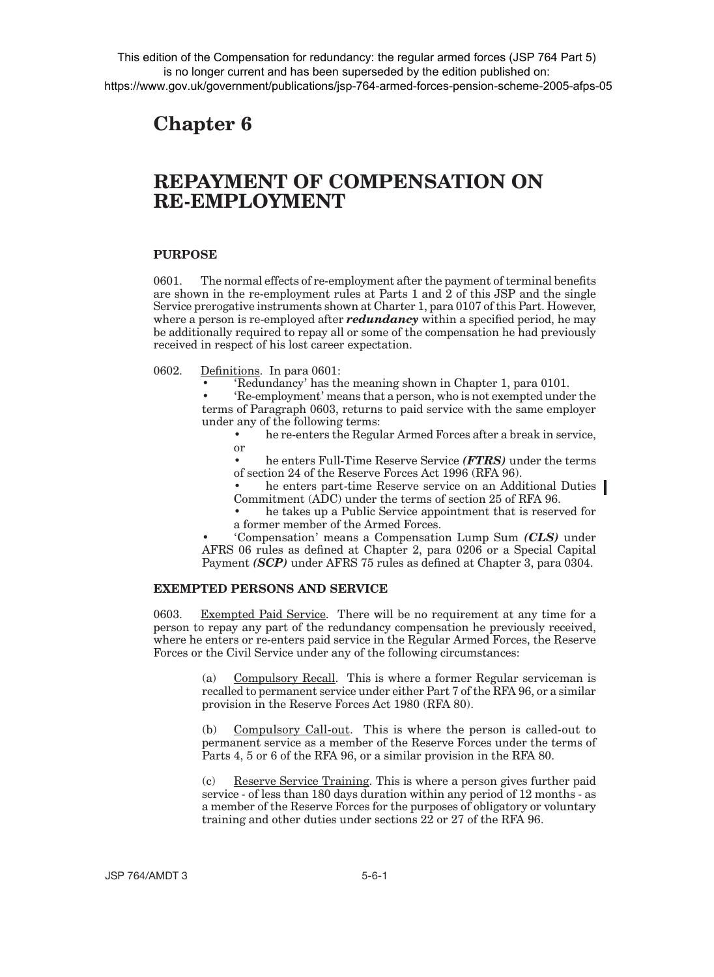# **Chapter 6**

# **REPAYMENT OF COMPENSATION ON RE-EMPLOYMENT**

## **PURPOSE**

0601. The normal effects of re-employment after the payment of terminal benefits are shown in the re-employment rules at Parts 1 and 2 of this JSP and the single Service prerogative instruments shown at Charter 1, para 0107 of this Part. However, where a person is re-employed after *redundancy* within a specified period, he may be additionally required to repay all or some of the compensation he had previously received in respect of his lost career expectation.

0602. Definitions. In para 0601:

• 'Redundancy' has the meaning shown in Chapter 1, para 0101.

• 'Re-employment' means that a person, who is not exempted under the terms of Paragraph 0603, returns to paid service with the same employer under any of the following terms:

• he re-enters the Regular Armed Forces after a break in service, or

• he enters Full-Time Reserve Service *(FTRS)* under the terms of section 24 of the Reserve Forces Act 1996 (RFA 96).

he enters part-time Reserve service on an Additional Duties | Commitment (ADC) under the terms of section 25 of RFA 96.

• he takes up a Public Service appointment that is reserved for a former member of the Armed Forces.

 Payment *(SCP)* under AFRS 75 rules as defined at Chapter 3, para 0304. • 'Compensation' means a Compensation Lump Sum *(CLS)* under AFRS 06 rules as defined at Chapter 2, para 0206 or a Special Capital

#### **EXEMPTED PERSONS AND SERVICE**

0603. Exempted Paid Service. There will be no requirement at any time for a person to repay any part of the redundancy compensation he previously received, where he enters or re-enters paid service in the Regular Armed Forces, the Reserve Forces or the Civil Service under any of the following circumstances:

> (a) Compulsory Recall. This is where a former Regular serviceman is recalled to permanent service under either Part 7 of the RFA 96, or a similar provision in the Reserve Forces Act 1980 (RFA 80).

> (b) Compulsory Call-out. This is where the person is called-out to permanent service as a member of the Reserve Forces under the terms of Parts 4, 5 or 6 of the RFA 96, or a similar provision in the RFA 80.

> (c) Reserve Service Training. This is where a person gives further paid service - of less than 180 days duration within any period of 12 months - as a member of the Reserve Forces for the purposes of obligatory or voluntary training and other duties under sections 22 or 27 of the RFA 96.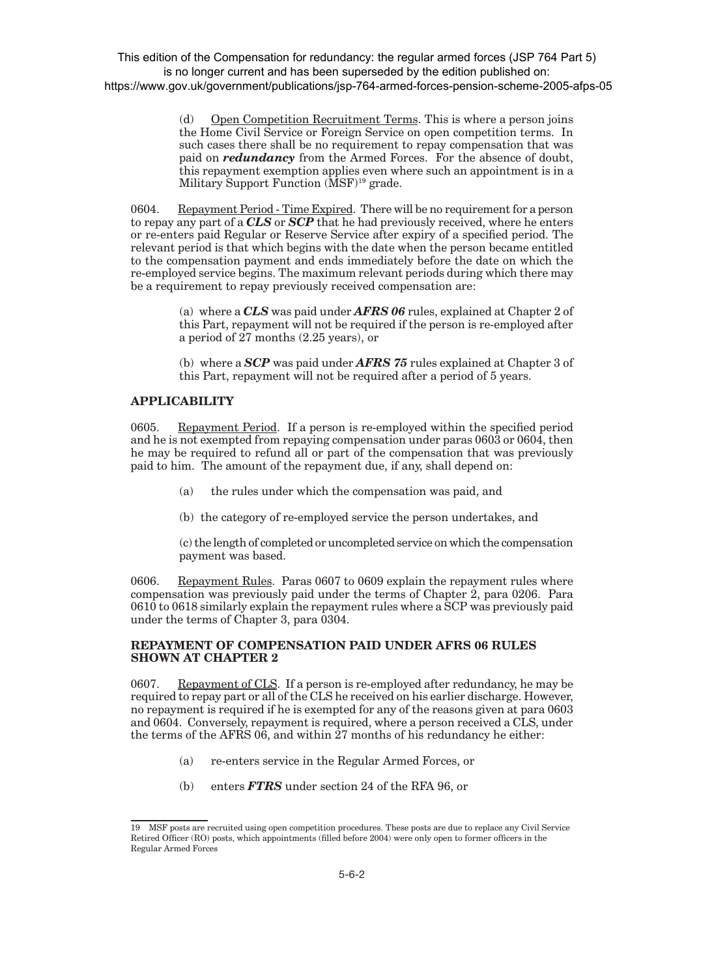> (d) Open Competition Recruitment Terms. This is where a person joins the Home Civil Service or Foreign Service on open competition terms. In such cases there shall be no requirement to repay compensation that was paid on *redundancy* from the Armed Forces. For the absence of doubt, this repayment exemption applies even where such an appointment is in a Military Support Function (MSF)<sup>19</sup> grade.

0604. Repayment Period - Time Expired. There will be no requirement for a person to repay any part of a *CLS* or *SCP* that he had previously received, where he enters or re-enters paid Regular or Reserve Service after expiry of a specified period. The relevant period is that which begins with the date when the person became entitled to the compensation payment and ends immediately before the date on which the re-employed service begins. The maximum relevant periods during which there may be a requirement to repay previously received compensation are:

> (a) where a *CLS* was paid under *AFRS 06* rules, explained at Chapter 2 of this Part, repayment will not be required if the person is re-employed after a period of 27 months (2.25 years), or

> (b) where a *SCP* was paid under *AFRS 75* rules explained at Chapter 3 of this Part, repayment will not be required after a period of 5 years.

## **APPLICABILITY**

0605. Repayment Period. If a person is re-employed within the specified period and he is not exempted from repaying compensation under paras 0603 or 0604, then he may be required to refund all or part of the compensation that was previously paid to him. The amount of the repayment due, if any, shall depend on:

- (a) the rules under which the compensation was paid, and
- (b) the category of re-employed service the person undertakes, and

(c) the length of completed or uncompleted service on which the compensation payment was based.

0606. Repayment Rules. Paras 0607 to 0609 explain the repayment rules where compensation was previously paid under the terms of Chapter 2, para 0206. Para 0610 to 0618 similarly explain the repayment rules where a SCP was previously paid under the terms of Chapter 3, para 0304.

## **REPAYMENT OF COMPENSATION PAID UNDER AFRS 06 RULES SHOWN AT CHAPTER 2**

0607. Repayment of CLS. If a person is re-employed after redundancy, he may be required to repay part or all of the CLS he received on his earlier discharge. However, no repayment is required if he is exempted for any of the reasons given at para 0603 and 0604. Conversely, repayment is required, where a person received a CLS, under the terms of the AFRS 06, and within 27 months of his redundancy he either:

- (a) re-enters service in the Regular Armed Forces, or
- (b) enters *FTRS* under section 24 of the RFA 96, or

<sup>19</sup> MSF posts are recruited using open competition procedures. These posts are due to replace any Civil Service Retired Officer (RO) posts, which appointments (filled before 2004) were only open to former officers in the Regular Armed Forces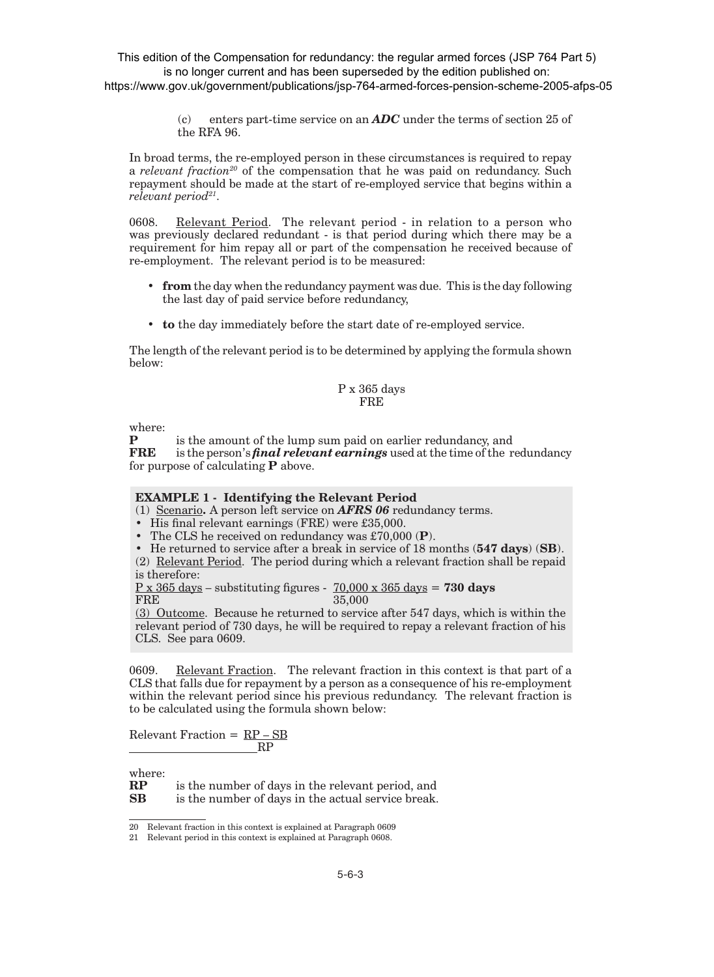> (c) enters part-time service on an *ADC* under the terms of section 25 of the RFA 96.

In broad terms, the re-employed person in these circumstances is required to repay a *relevant fraction<sup>20</sup>* of the compensation that he was paid on redundancy. Such repayment should be made at the start of re-employed service that begins within a *relevant period21* .

0608. Relevant Period. The relevant period - in relation to a person who was previously declared redundant - is that period during which there may be a requirement for him repay all or part of the compensation he received because of re-employment. The relevant period is to be measured:

- **from** the day when the redundancy payment was due. This is the day following the last day of paid service before redundancy,
- **to** the day immediately before the start date of re-employed service.

The length of the relevant period is to be determined by applying the formula shown below:

## P x 365 days FRE

where:

 for purpose of calculating **P** above. **P** is the amount of the lump sum paid on earlier redundancy, and **FRE** is the person's **final relevant earnings** used at the time of the r is the person's *final relevant earnings* used at the time of the redundancy

## **EXAMPLE 1 - Identifying the Relevant Period**

(1) Scenario**.** A person left service on *AFRS 06* redundancy terms.

• His final relevant earnings (FRE) were £35,000.

• The CLS he received on redundancy was £70,000 (P).

• He returned to service after a break in service of 18 months (547 days) (SB).

(2) Relevant Period. The period during which a relevant fraction shall be repaid is therefore:

P x 365 days – substituting figures - 70,000 x 365 days = **730 days**  FRE 35,000

(3) Outcome. Because he returned to service after 547 days, which is within the relevant period of 730 days, he will be required to repay a relevant fraction of his CLS. See para 0609.

0609. Relevant Fraction. The relevant fraction in this context is that part of a CLS that falls due for repayment by a person as a consequence of his re-employment within the relevant period since his previous redundancy. The relevant fraction is to be calculated using the formula shown below:

Relevant Fraction = RP – SB **EXAMPLE 2018** RP

where:

**RP** is the number of days in the relevant period, and

**SB** is the number of days in the actual service break.

<sup>20</sup> Relevant fraction in this context is explained at Paragraph 0609

<sup>21</sup> Relevant period in this context is explained at Paragraph 0608.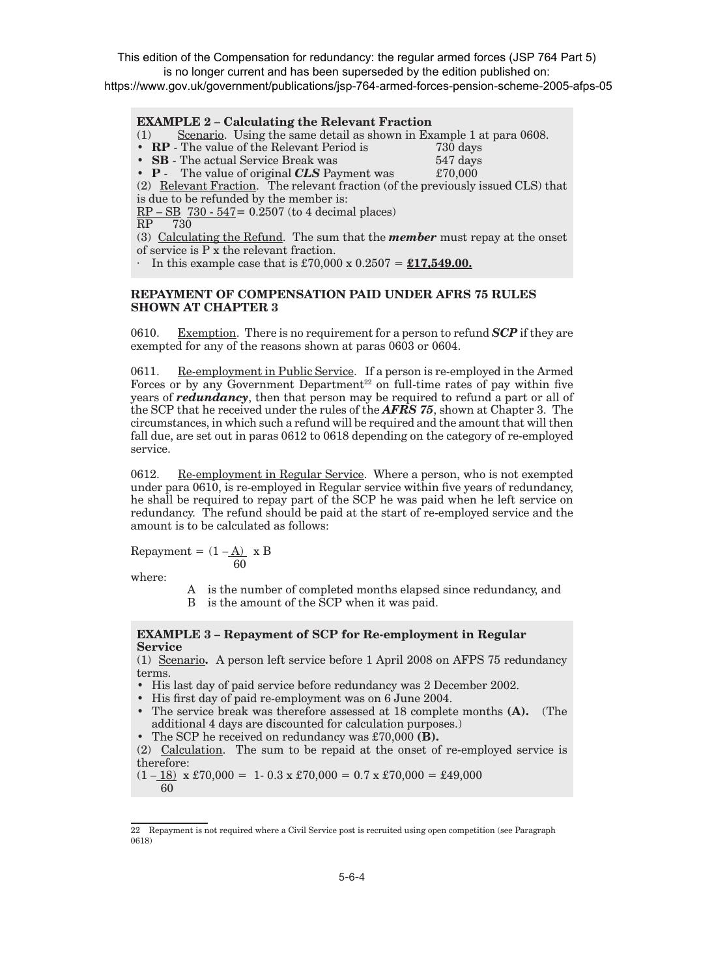https://www.gov.uk/government/publications/jsp-764-armed-forces-pension-scheme-2005-afps-05

## **EXAMPLE 2 – Calculating the Relevant Fraction**

(1) Scenario. Using the same detail as shown in Example 1 at para 0608.

• **SB** - The actual Service Break was 547 days • **RP** - The value of the Relevant Period is 730 days<br>• **SB** - The actual Service Break was 547 days

• **P** - The value of original **CLS** Payment was  $\pounds 70,000$ 

(2) Relevant Fraction. The relevant fraction (of the previously issued CLS) that is due to be refunded by the member is:

 $\frac{RP - SB}{RP}$  730 - 547 = 0.2507 (to 4 decimal places)

RP 730

(3) Calculating the Refund. The sum that the *member* must repay at the onset of service is P x the relevant fraction.

• In this example case that is £70,000 x  $0.2507 = \text{\textsterling}17,549.00$ .

#### **REPAYMENT OF COMPENSATION PAID UNDER AFRS 75 RULES SHOWN AT CHAPTER 3**

0610. Exemption. There is no requirement for a person to refund *SCP* if they are exempted for any of the reasons shown at paras 0603 or 0604.

0611. Re-employment in Public Service. If a person is re-employed in the Armed Forces or by any Government Department<sup>22</sup> on full-time rates of pay within five years of *redundancy*, then that person may be required to refund a part or all of the SCP that he received under the rules of the *AFRS 75*, shown at Chapter 3. The circumstances, in which such a refund will be required and the amount that will then fall due, are set out in paras 0612 to 0618 depending on the category of re-employed service.

0612. Re-employment in Regular Service. Where a person, who is not exempted under para 0610, is re-employed in Regular service within five years of redundancy, he shall be required to repay part of the SCP he was paid when he left service on redundancy. The refund should be paid at the start of re-employed service and the amount is to be calculated as follows:

Repayment =  $(1 - A)$  x B 60

where:

- A is the number of completed months elapsed since redundancy, and
- B is the amount of the SCP when it was paid.

#### **EXAMPLE 3 – Repayment of SCP for Re-employment in Regular Service**

(1) Scenario**.** A person left service before 1 April 2008 on AFPS 75 redundancy terms.

- His last day of paid service before redundancy was 2 December 2002.
- His first day of paid re-employment was on 6 June 2004.
- The service break was therefore assessed at 18 complete months **(A).** (The additional 4 days are discounted for calculation purposes.)
- The SCP he received on redundancy was £70,000 **(B).**

(2) Calculation. The sum to be repaid at the onset of re-employed service is therefore:

 $(1 - 18) \times \text{\pounds}70,000 = 1 - 0.3 \times \text{\pounds}70,000 = 0.7 \times \text{\pounds}70,000 = \text{\pounds}49,000$ 60

<sup>22</sup> Repayment is not required where a Civil Service post is recruited using open competition (see Paragraph 0618)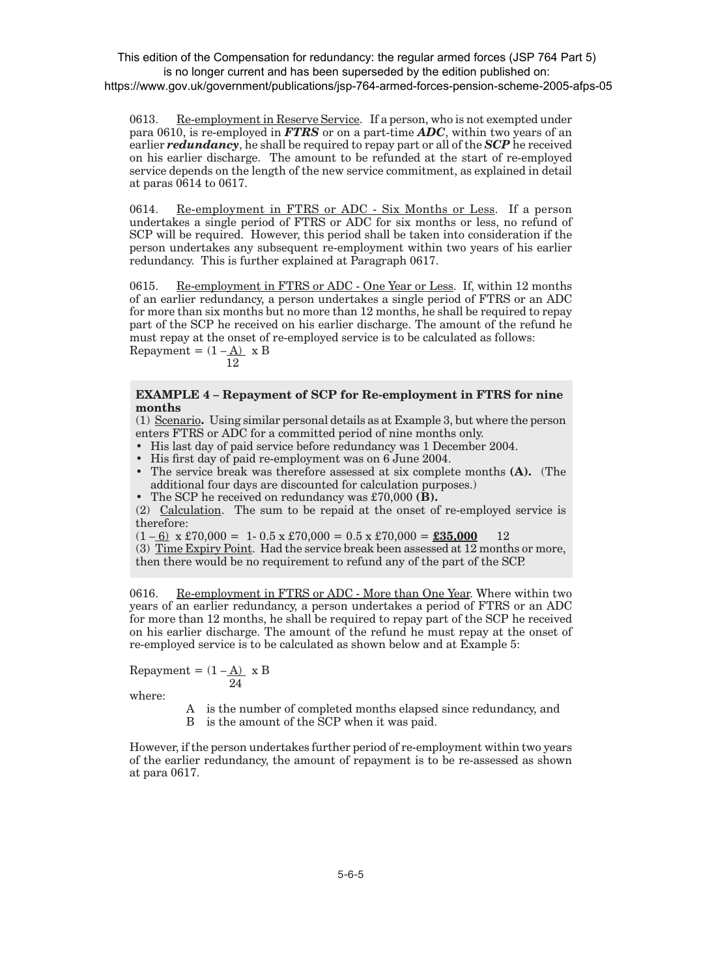on his earlier discharge. The amount to be refunded at the start of re-employed 0613. Re-employment in Reserve Service. If a person, who is not exempted under para 0610, is re-employed in *FTRS* or on a part-time *ADC*, within two years of an earlier *redundancy*, he shall be required to repay part or all of the *SCP* he received service depends on the length of the new service commitment, as explained in detail at paras 0614 to 0617.

0614. Re-employment in FTRS or ADC - Six Months or Less. If a person undertakes a single period of FTRS or ADC for six months or less, no refund of SCP will be required. However, this period shall be taken into consideration if the person undertakes any subsequent re-employment within two years of his earlier redundancy. This is further explained at Paragraph 0617.

0615. Re-employment in FTRS or ADC - One Year or Less. If, within 12 months of an earlier redundancy, a person undertakes a single period of FTRS or an ADC for more than six months but no more than 12 months, he shall be required to repay part of the SCP he received on his earlier discharge. The amount of the refund he must repay at the onset of re-employed service is to be calculated as follows: Repayment =  $(1 - A)$  x B

**EXAMPLE 4 – Repayment of SCP for Re-employment in FTRS for nine months** 

(1) Scenario**.** Using similar personal details as at Example 3, but where the person enters FTRS or ADC for a committed period of nine months only.

- His last day of paid service before redundancy was 1 December 2004.
- His first day of paid re-employment was on 6 June 2004.
- The service break was therefore assessed at six complete months **(A).** (The additional four days are discounted for calculation purposes.)
- The SCP he received on redundancy was £70,000 **(B).**

(2) Calculation. The sum to be repaid at the onset of re-employed service is therefore:

 $(1-6)$  x £70,000 = 1- 0.5 x £70,000 = 0.5 x £70,000 = **£35,000** 

(3) Time Expiry Point. Had the service break been assessed at 12 months or more, then there would be no requirement to refund any of the part of the SCP.

0616. Re-employment in FTRS or ADC - More than One Year. Where within two years of an earlier redundancy, a person undertakes a period of FTRS or an ADC for more than 12 months, he shall be required to repay part of the SCP he received on his earlier discharge. The amount of the refund he must repay at the onset of re-employed service is to be calculated as shown below and at Example 5:

Repayment =  $(1 - A)$  x B 24

12

where:

- A is the number of completed months elapsed since redundancy, and
- B is the amount of the SCP when it was paid.

However, if the person undertakes further period of re-employment within two years of the earlier redundancy, the amount of repayment is to be re-assessed as shown at para 0617.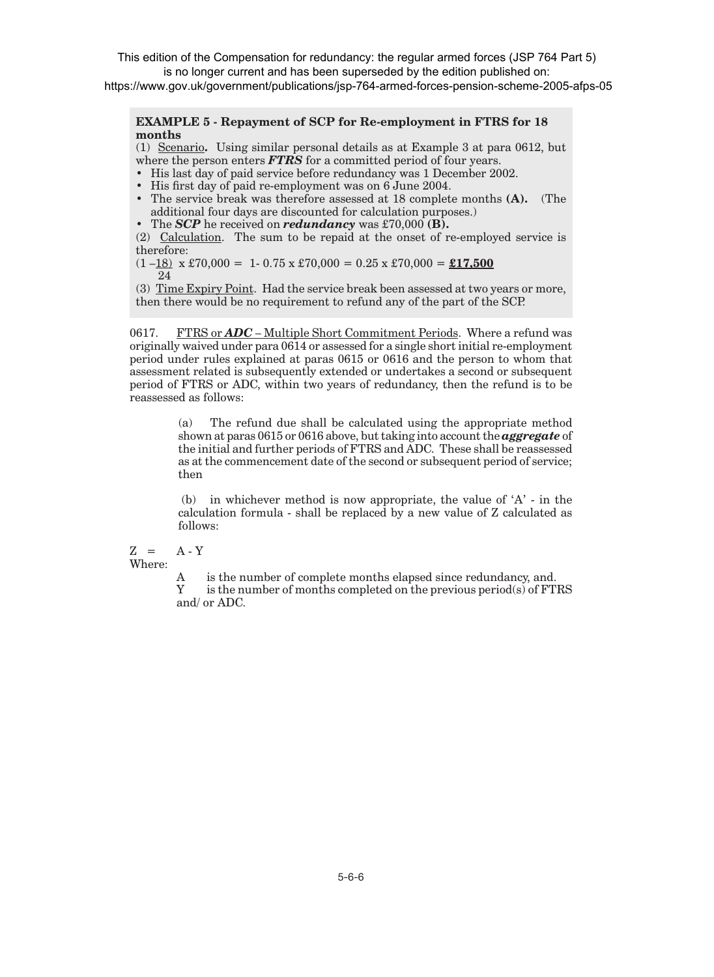https://www.gov.uk/government/publications/jsp-764-armed-forces-pension-scheme-2005-afps-05

## **EXAMPLE 5 - Repayment of SCP for Re-employment in FTRS for 18 months**

(1) Scenario**.** Using similar personal details as at Example 3 at para 0612, but where the person enters *FTRS* for a committed period of four years.

- His last day of paid service before redundancy was 1 December 2002.
- His first day of paid re-employment was on 6 June 2004.
- The service break was therefore assessed at 18 complete months **(A).** (The additional four days are discounted for calculation purposes.)

• The *SCP* he received on *redundancy* was £70,000 **(B).** 

(2) Calculation. The sum to be repaid at the onset of re-employed service is therefore:

 $(1 - 18) \times \text{\pounds}70,000 = 1 - 0.75 \times \text{\pounds}70,000 = 0.25 \times \text{\pounds}70,000 = \text{\pounds}17,500$ 24

(3) Time Expiry Point. Had the service break been assessed at two years or more, then there would be no requirement to refund any of the part of the SCP.

0617. FTRS or **ADC** – Multiple Short Commitment Periods. Where a refund was originally waived under para 0614 or assessed for a single short initial re-employment period under rules explained at paras 0615 or 0616 and the person to whom that assessment related is subsequently extended or undertakes a second or subsequent period of FTRS or ADC, within two years of redundancy, then the refund is to be reassessed as follows:

> (a) The refund due shall be calculated using the appropriate method shown at paras 0615 or 0616 above, but taking into account the *aggregate* of the initial and further periods of FTRS and ADC. These shall be reassessed as at the commencement date of the second or subsequent period of service; then

> (b) in whichever method is now appropriate, the value of 'A' - in the calculation formula - shall be replaced by a new value of Z calculated as follows:

$$
Z = A - Y
$$
  
Where:

A is the number of complete months elapsed since redundancy, and.<br>Y is the number of months completed on the previous period(s) of FT

is the number of months completed on the previous period(s) of  $FTRS$ and/ or ADC.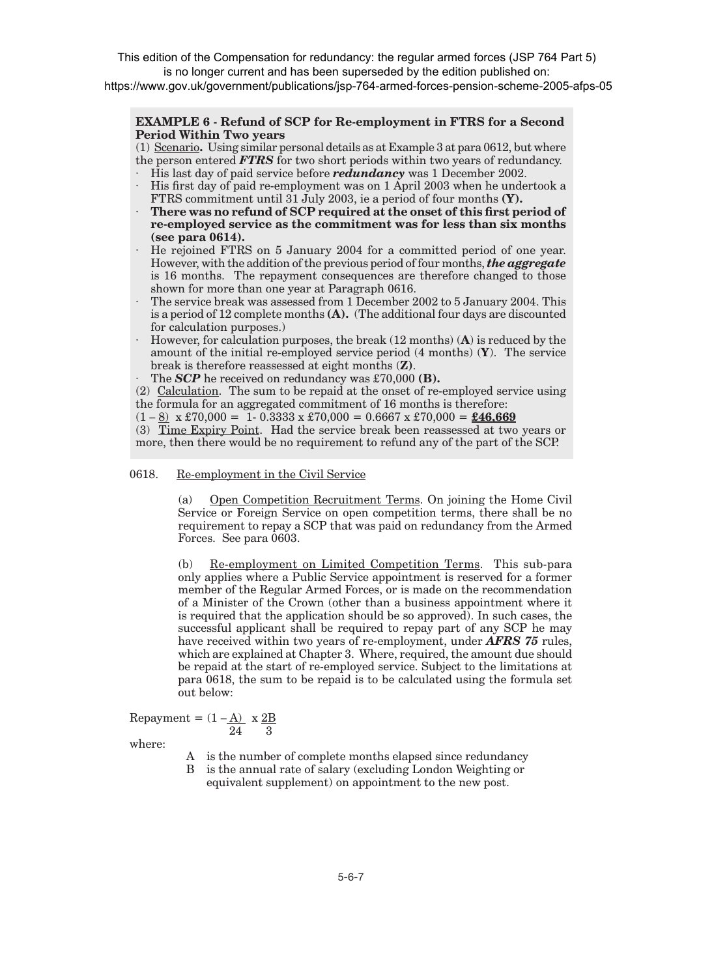https://www.gov.uk/government/publications/jsp-764-armed-forces-pension-scheme-2005-afps-05

## **EXAMPLE 6 - Refund of SCP for Re-employment in FTRS for a Second Period Within Two years**

(1) Scenario**.** Using similar personal details as at Example 3 at para 0612, but where the person entered *FTRS* for two short periods within two years of redundancy.

- · His last day of paid service before *redundancy* was 1 December 2002. · His first day of paid re-employment was on 1 April 2003 when he undertook a FTRS commitment until 31 July 2003, ie a period of four months **(Y).**
- · **There was no refund of SCP required at the onset of this first period of re-employed service as the commitment was for less than six months (see para 0614).**
- · He rejoined FTRS on 5 January 2004 for a committed period of one year. However, with the addition of the previous period of four months, *the aggregate*  is 16 months. The repayment consequences are therefore changed to those shown for more than one year at Paragraph 0616.
- The service break was assessed from 1 December 2002 to 5 January 2004. This is a period of 12 complete months **(A).** (The additional four days are discounted for calculation purposes.)
- $\cdot$  However, for calculation purposes, the break (12 months) (A) is reduced by the amount of the initial re-employed service period (4 months) (**Y**). The service break is therefore reassessed at eight months (**Z)**.
- $\cdot$  The *SCP* he received on redundancy was £70,000 **(B).**

(2) Calculation. The sum to be repaid at the onset of re-employed service using the formula for an aggregated commitment of 16 months is therefore:

(1 – 8) x £70,000 = 1- 0.3333 x £70,000 = 0.6667 x £70,000 = **£46,669** 

(3) Time Expiry Point. Had the service break been reassessed at two years or more, then there would be no requirement to refund any of the part of the SCP.

## 0618. Re-employment in the Civil Service

(a) Open Competition Recruitment Terms. On joining the Home Civil Service or Foreign Service on open competition terms, there shall be no requirement to repay a SCP that was paid on redundancy from the Armed Forces. See para 0603.

(b) Re-employment on Limited Competition Terms. This sub-para only applies where a Public Service appointment is reserved for a former member of the Regular Armed Forces, or is made on the recommendation of a Minister of the Crown (other than a business appointment where it is required that the application should be so approved). In such cases, the successful applicant shall be required to repay part of any SCP he may have received within two years of re-employment, under *AFRS 75* rules, which are explained at Chapter 3. Where, required, the amount due should be repaid at the start of re-employed service. Subject to the limitations at para 0618, the sum to be repaid is to be calculated using the formula set out below:

Repayment =  $(1 - A)$  x 2B 24 3

where:

- A is the number of complete months elapsed since redundancy
- B is the annual rate of salary (excluding London Weighting or equivalent supplement) on appointment to the new post.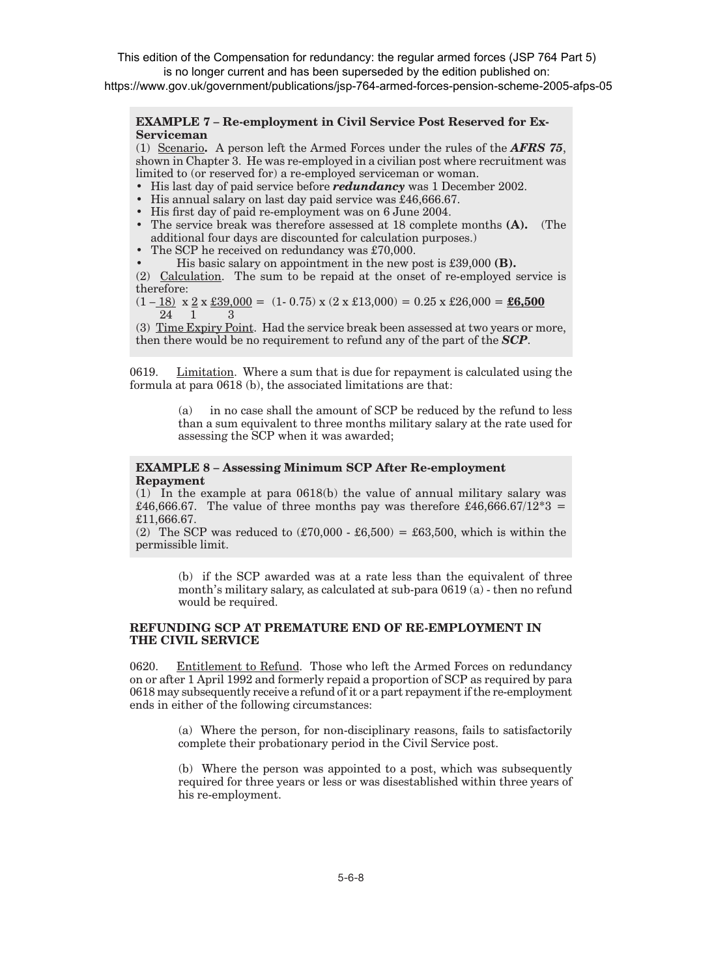https://www.gov.uk/government/publications/jsp-764-armed-forces-pension-scheme-2005-afps-05

## **EXAMPLE 7 – Re-employment in Civil Service Post Reserved for Ex-Serviceman**

(1) Scenario**.** A person left the Armed Forces under the rules of the *AFRS 75*, shown in Chapter 3. He was re-employed in a civilian post where recruitment was limited to (or reserved for) a re-employed serviceman or woman.

- His last day of paid service before *redundancy* was 1 December 2002.
- His annual salary on last day paid service was £46,666.67.
- His first day of paid re-employment was on 6 June 2004.
- The service break was therefore assessed at 18 complete months **(A).** (The additional four days are discounted for calculation purposes.)
- The SCP he received on redundancy was £70,000.
- His basic salary on appointment in the new post is £39,000 **(B).**

(2) Calculation. The sum to be repaid at the onset of re-employed service is therefore:

 $(1 - 18) \times 2 \times \text{\pounds}39,000 = (1 - 0.75) \times (2 \times \text{\pounds}13,000) = 0.25 \times \text{\pounds}26,000 = \text{\pounds}6,500$ 24 1 3

(3) Time Expiry Point. Had the service break been assessed at two years or more, then there would be no requirement to refund any of the part of the *SCP*.

0619. Limitation. Where a sum that is due for repayment is calculated using the formula at para 0618 (b), the associated limitations are that:

> (a) in no case shall the amount of SCP be reduced by the refund to less than a sum equivalent to three months military salary at the rate used for assessing the SCP when it was awarded;

#### **EXAMPLE 8 – Assessing Minimum SCP After Re-employment Repayment**

(1) In the example at para 0618(b) the value of annual military salary was £46,666.67. The value of three months pay was therefore £46,666.67/12 $*3 =$ £11,666.67.

(2) The SCP was reduced to  $(\text{\textsterling}70,000 - \text{\textsterling}6,500) = \text{\textsterling}63,500$ , which is within the permissible limit.

(b) if the SCP awarded was at a rate less than the equivalent of three month's military salary, as calculated at sub-para 0619 (a) - then no refund would be required.

#### **REFUNDING SCP AT PREMATURE END OF RE-EMPLOYMENT IN THE CIVIL SERVICE**

0620. Entitlement to Refund. Those who left the Armed Forces on redundancy on or after 1 April 1992 and formerly repaid a proportion of SCP as required by para 0618 may subsequently receive a refund of it or a part repayment if the re-employment ends in either of the following circumstances:

> (a) Where the person, for non-disciplinary reasons, fails to satisfactorily complete their probationary period in the Civil Service post.

> (b) Where the person was appointed to a post, which was subsequently required for three years or less or was disestablished within three years of his re-employment.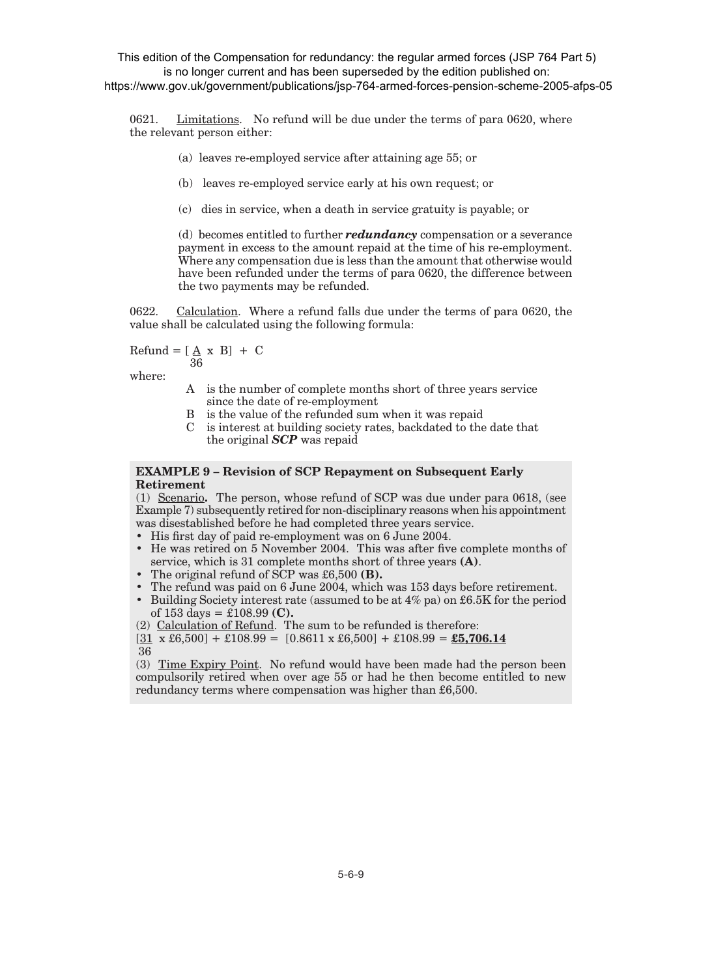0621. Limitations. No refund will be due under the terms of para 0620, where the relevant person either:

- (a) leaves re-employed service after attaining age 55; or
- (b) leaves re-employed service early at his own request; or
- (c) dies in service, when a death in service gratuity is payable; or

(d) becomes entitled to further *redundancy* compensation or a severance payment in excess to the amount repaid at the time of his re-employment. Where any compensation due is less than the amount that otherwise would have been refunded under the terms of para 0620, the difference between the two payments may be refunded.

0622. Calculation. Where a refund falls due under the terms of para 0620, the value shall be calculated using the following formula:

#### $Refund = [A \times B] + C$ 36

where:

- A is the number of complete months short of three years service since the date of re-employment
- B is the value of the refunded sum when it was repaid
- C is interest at building society rates, backdated to the date that the original *SCP* was repaid

## **EXAMPLE 9 – Revision of SCP Repayment on Subsequent Early Retirement**

(1) Scenario**.** The person, whose refund of SCP was due under para 0618, (see Example 7) subsequently retired for non-disciplinary reasons when his appointment was disestablished before he had completed three years service.

- His first day of paid re-employment was on 6 June 2004.
- He was retired on 5 November 2004. This was after five complete months of service, which is 31 complete months short of three years **(A)**.
- The original refund of SCP was £6,500 **(B).**
- The refund was paid on 6 June 2004, which was 153 days before retirement.
- Building Society interest rate (assumed to be at  $4\%$  pa) on £6.5K for the period of 153 days = £108.99 **(C).**

(2) Calculation of Refund. The sum to be refunded is therefore:

 $[31 \times \pounds6,500] + \pounds108.99 = [0.8611 \times \pounds6,500] + \pounds108.99 = \pounds5,706.14$ 36

(3) Time Expiry Point. No refund would have been made had the person been compulsorily retired when over age 55 or had he then become entitled to new redundancy terms where compensation was higher than £6,500.